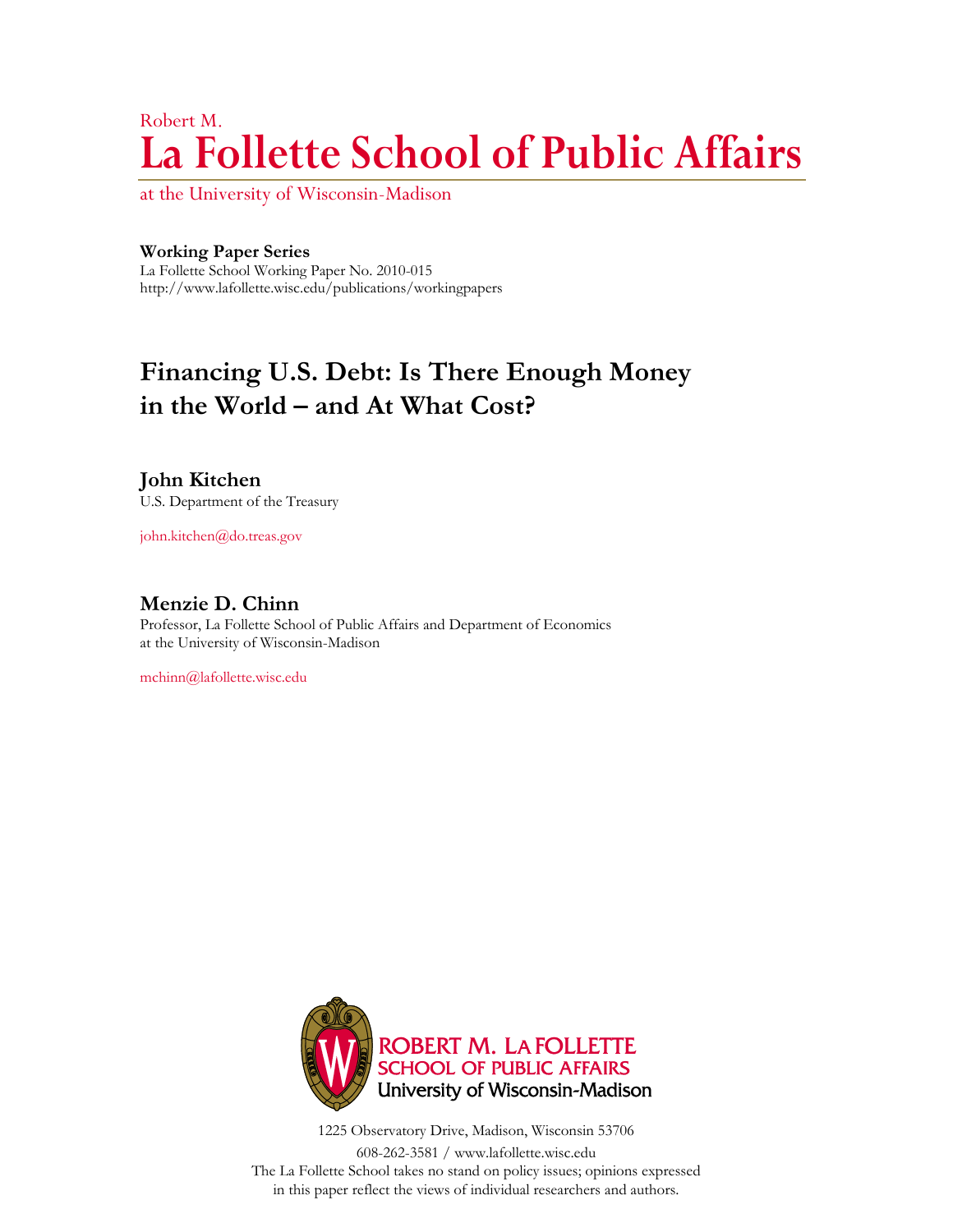# Robert M. **La Follette School of Public Affairs**

at the University of Wisconsin-Madison

## **Working Paper Series**

La Follette School Working Paper No. 2010-015 <http://www.lafollette.wisc.edu/publications/workingpapers>

## **Financing U.S. Debt: Is There Enough Money in the World – and At What Cost?**

## **John Kitchen**

U.S. Department of the Treasury

<john.kitchen@do.treas.gov>

## **Menzie D. Chinn**

Professor, La Follette School of Public Affairs and Department of Economics at the University of Wisconsin-Madison

[mchinn@lafollette.wisc.edu](mailto:mchinn@lafollette.wisc.edu)



1225 Observatory Drive, Madison, Wisconsin 53706

608-262-3581 / www.lafollette.wisc.edu The La Follette School takes no stand on policy issues; opinions expressed in this paper reflect the views of individual researchers and authors.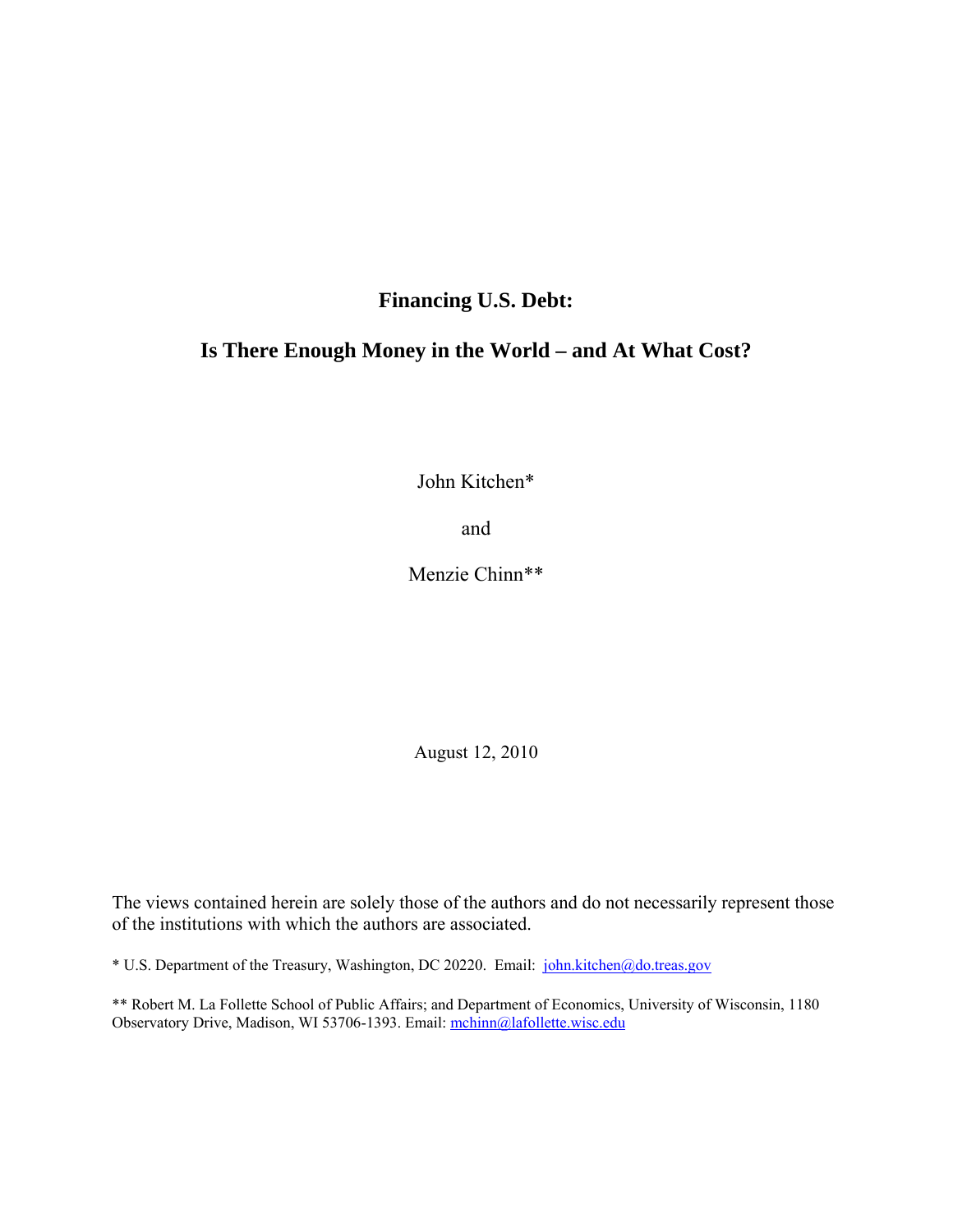## **Financing U.S. Debt:**

## **Is There Enough Money in the World – and At What Cost?**

John Kitchen\*

and

Menzie Chinn\*\*

August 12, 2010

The views contained herein are solely those of the authors and do not necessarily represent those of the institutions with which the authors are associated.

\* U.S. Department of the Treasury, Washington, DC 20220. Email: john.kitchen@do.treas.gov

\*\* Robert M. La Follette School of Public Affairs; and Department of Economics, University of Wisconsin, 1180 Observatory Drive, Madison, WI 53706-1393. Email: mchinn@lafollette.wisc.edu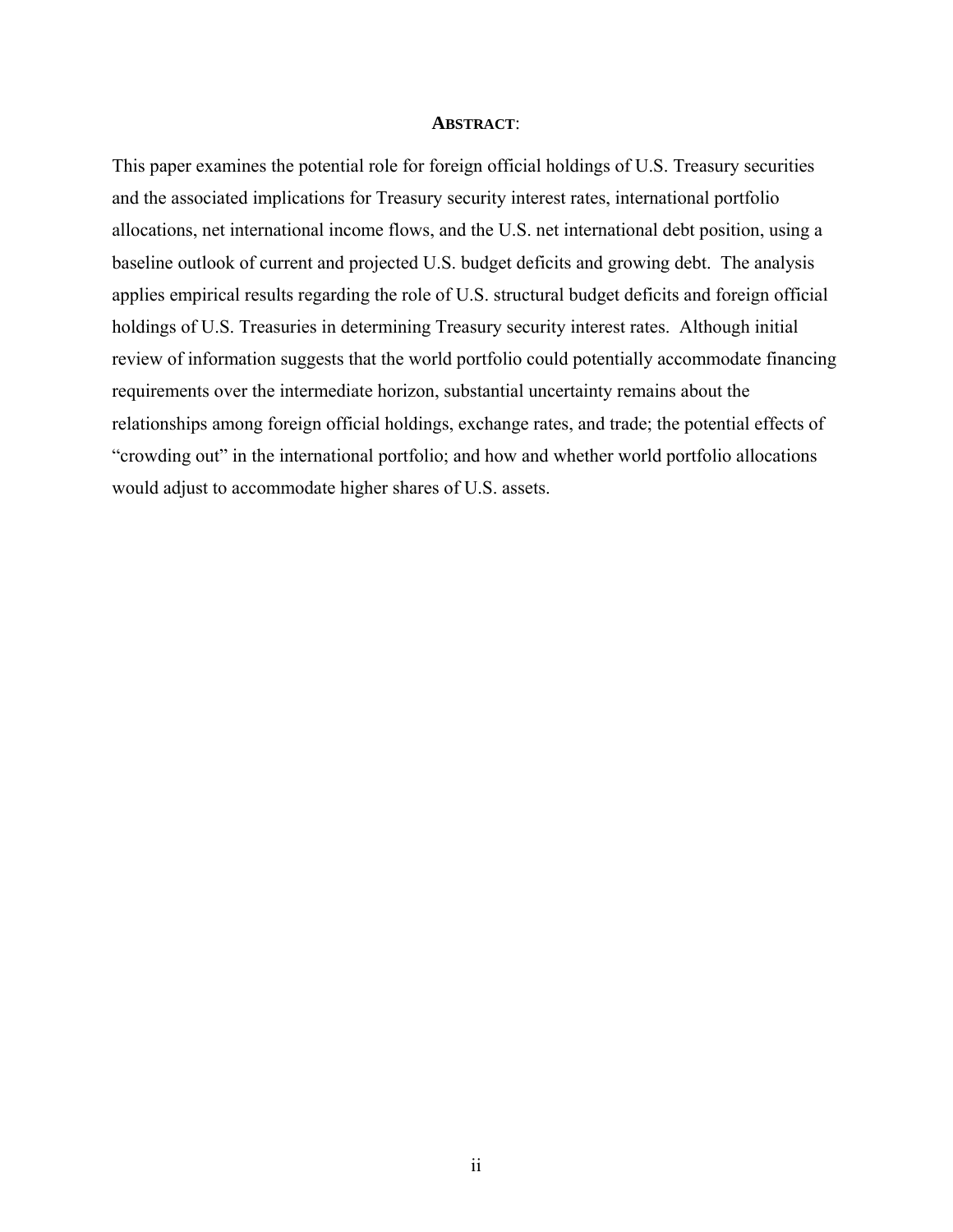#### **ABSTRACT**:

This paper examines the potential role for foreign official holdings of U.S. Treasury securities and the associated implications for Treasury security interest rates, international portfolio allocations, net international income flows, and the U.S. net international debt position, using a baseline outlook of current and projected U.S. budget deficits and growing debt. The analysis applies empirical results regarding the role of U.S. structural budget deficits and foreign official holdings of U.S. Treasuries in determining Treasury security interest rates. Although initial review of information suggests that the world portfolio could potentially accommodate financing requirements over the intermediate horizon, substantial uncertainty remains about the relationships among foreign official holdings, exchange rates, and trade; the potential effects of "crowding out" in the international portfolio; and how and whether world portfolio allocations would adjust to accommodate higher shares of U.S. assets.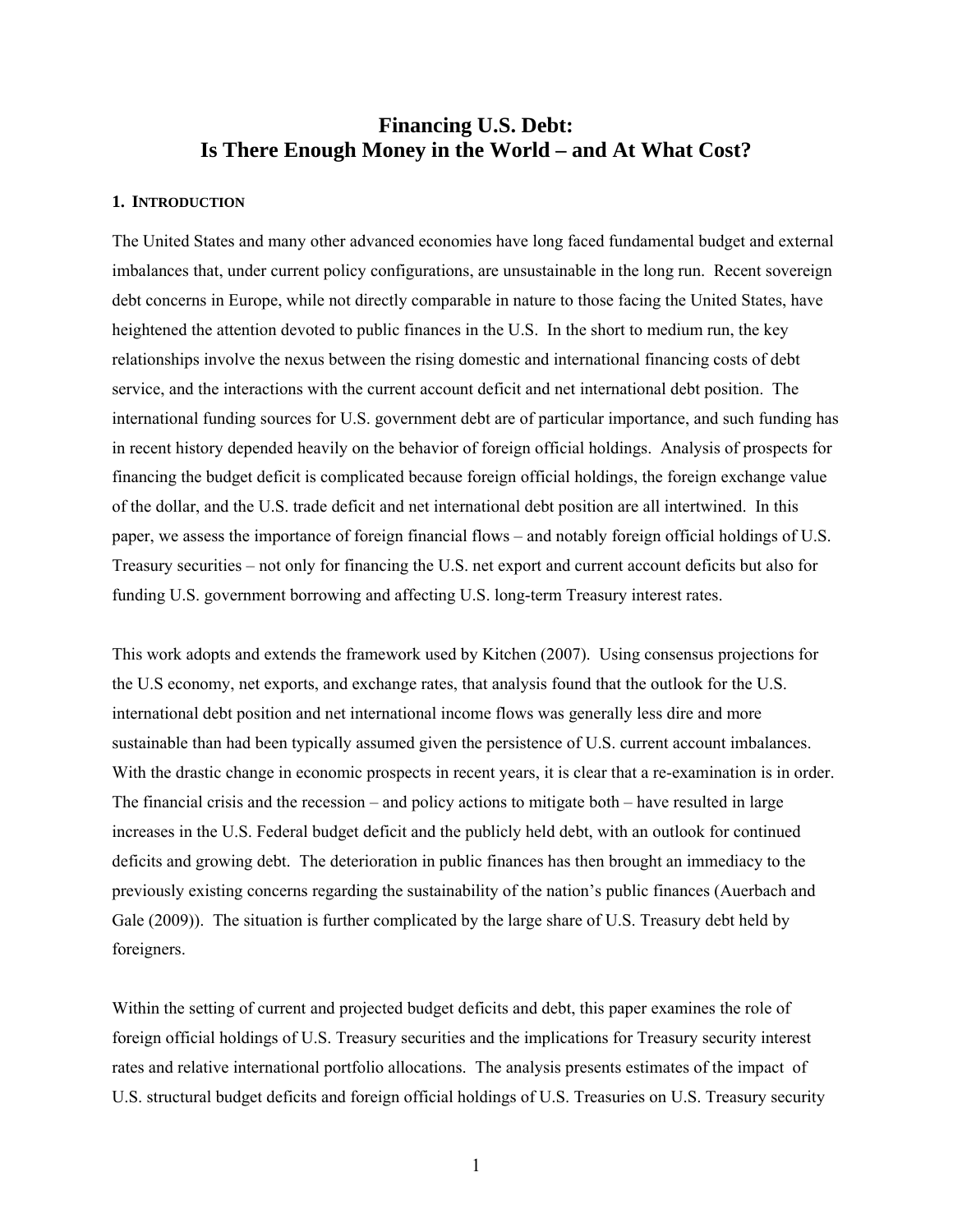## **Financing U.S. Debt: Is There Enough Money in the World – and At What Cost?**

#### **1. INTRODUCTION**

The United States and many other advanced economies have long faced fundamental budget and external imbalances that, under current policy configurations, are unsustainable in the long run. Recent sovereign debt concerns in Europe, while not directly comparable in nature to those facing the United States, have heightened the attention devoted to public finances in the U.S. In the short to medium run, the key relationships involve the nexus between the rising domestic and international financing costs of debt service, and the interactions with the current account deficit and net international debt position. The international funding sources for U.S. government debt are of particular importance, and such funding has in recent history depended heavily on the behavior of foreign official holdings. Analysis of prospects for financing the budget deficit is complicated because foreign official holdings, the foreign exchange value of the dollar, and the U.S. trade deficit and net international debt position are all intertwined. In this paper, we assess the importance of foreign financial flows – and notably foreign official holdings of U.S. Treasury securities – not only for financing the U.S. net export and current account deficits but also for funding U.S. government borrowing and affecting U.S. long-term Treasury interest rates.

This work adopts and extends the framework used by Kitchen (2007). Using consensus projections for the U.S economy, net exports, and exchange rates, that analysis found that the outlook for the U.S. international debt position and net international income flows was generally less dire and more sustainable than had been typically assumed given the persistence of U.S. current account imbalances. With the drastic change in economic prospects in recent years, it is clear that a re-examination is in order. The financial crisis and the recession – and policy actions to mitigate both – have resulted in large increases in the U.S. Federal budget deficit and the publicly held debt, with an outlook for continued deficits and growing debt. The deterioration in public finances has then brought an immediacy to the previously existing concerns regarding the sustainability of the nation's public finances (Auerbach and Gale (2009)). The situation is further complicated by the large share of U.S. Treasury debt held by foreigners.

Within the setting of current and projected budget deficits and debt, this paper examines the role of foreign official holdings of U.S. Treasury securities and the implications for Treasury security interest rates and relative international portfolio allocations. The analysis presents estimates of the impact of U.S. structural budget deficits and foreign official holdings of U.S. Treasuries on U.S. Treasury security

1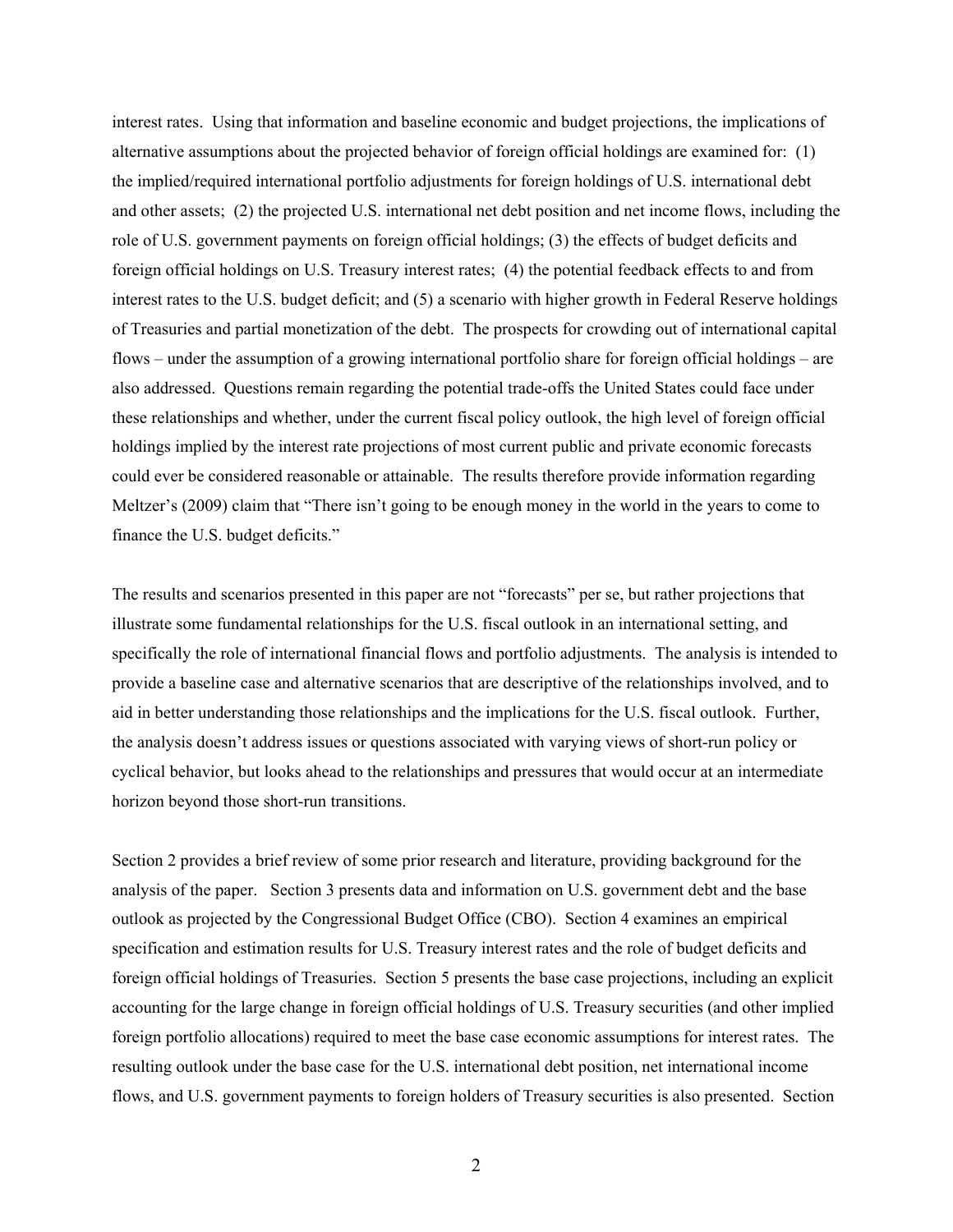interest rates. Using that information and baseline economic and budget projections, the implications of alternative assumptions about the projected behavior of foreign official holdings are examined for: (1) the implied/required international portfolio adjustments for foreign holdings of U.S. international debt and other assets; (2) the projected U.S. international net debt position and net income flows, including the role of U.S. government payments on foreign official holdings; (3) the effects of budget deficits and foreign official holdings on U.S. Treasury interest rates; (4) the potential feedback effects to and from interest rates to the U.S. budget deficit; and (5) a scenario with higher growth in Federal Reserve holdings of Treasuries and partial monetization of the debt. The prospects for crowding out of international capital flows – under the assumption of a growing international portfolio share for foreign official holdings – are also addressed. Questions remain regarding the potential trade-offs the United States could face under these relationships and whether, under the current fiscal policy outlook, the high level of foreign official holdings implied by the interest rate projections of most current public and private economic forecasts could ever be considered reasonable or attainable. The results therefore provide information regarding Meltzer's (2009) claim that "There isn't going to be enough money in the world in the years to come to finance the U.S. budget deficits."

The results and scenarios presented in this paper are not "forecasts" per se, but rather projections that illustrate some fundamental relationships for the U.S. fiscal outlook in an international setting, and specifically the role of international financial flows and portfolio adjustments. The analysis is intended to provide a baseline case and alternative scenarios that are descriptive of the relationships involved, and to aid in better understanding those relationships and the implications for the U.S. fiscal outlook. Further, the analysis doesn't address issues or questions associated with varying views of short-run policy or cyclical behavior, but looks ahead to the relationships and pressures that would occur at an intermediate horizon beyond those short-run transitions.

Section 2 provides a brief review of some prior research and literature, providing background for the analysis of the paper. Section 3 presents data and information on U.S. government debt and the base outlook as projected by the Congressional Budget Office (CBO). Section 4 examines an empirical specification and estimation results for U.S. Treasury interest rates and the role of budget deficits and foreign official holdings of Treasuries. Section 5 presents the base case projections, including an explicit accounting for the large change in foreign official holdings of U.S. Treasury securities (and other implied foreign portfolio allocations) required to meet the base case economic assumptions for interest rates. The resulting outlook under the base case for the U.S. international debt position, net international income flows, and U.S. government payments to foreign holders of Treasury securities is also presented. Section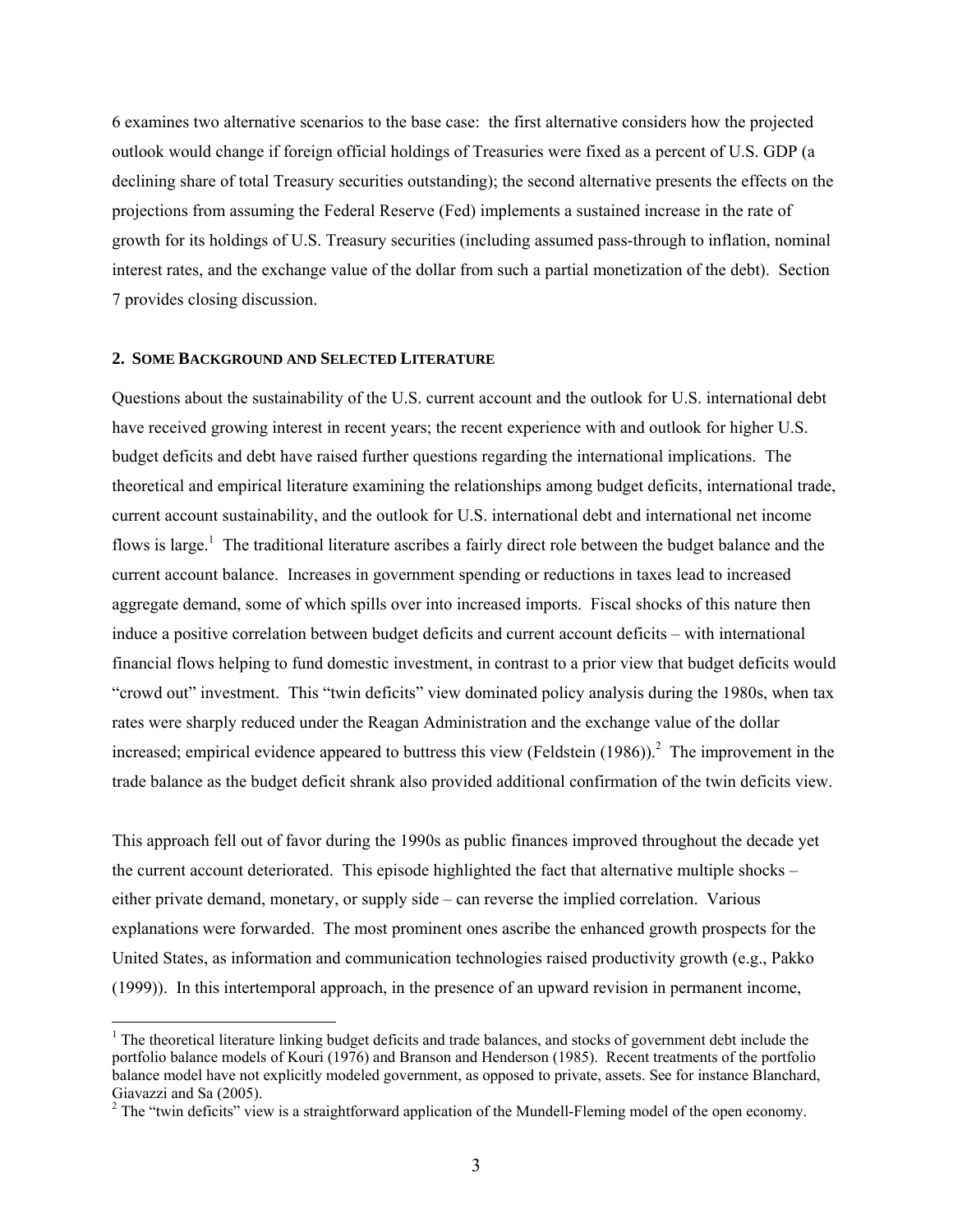6 examines two alternative scenarios to the base case: the first alternative considers how the projected outlook would change if foreign official holdings of Treasuries were fixed as a percent of U.S. GDP (a declining share of total Treasury securities outstanding); the second alternative presents the effects on the projections from assuming the Federal Reserve (Fed) implements a sustained increase in the rate of growth for its holdings of U.S. Treasury securities (including assumed pass-through to inflation, nominal interest rates, and the exchange value of the dollar from such a partial monetization of the debt). Section 7 provides closing discussion.

#### **2. SOME BACKGROUND AND SELECTED LITERATURE**

 $\overline{a}$ 

Questions about the sustainability of the U.S. current account and the outlook for U.S. international debt have received growing interest in recent years; the recent experience with and outlook for higher U.S. budget deficits and debt have raised further questions regarding the international implications. The theoretical and empirical literature examining the relationships among budget deficits, international trade, current account sustainability, and the outlook for U.S. international debt and international net income flows is large.<sup>1</sup> The traditional literature ascribes a fairly direct role between the budget balance and the current account balance. Increases in government spending or reductions in taxes lead to increased aggregate demand, some of which spills over into increased imports. Fiscal shocks of this nature then induce a positive correlation between budget deficits and current account deficits – with international financial flows helping to fund domestic investment, in contrast to a prior view that budget deficits would "crowd out" investment. This "twin deficits" view dominated policy analysis during the 1980s, when tax rates were sharply reduced under the Reagan Administration and the exchange value of the dollar increased; empirical evidence appeared to buttress this view (Feldstein  $(1986)$ ).<sup>2</sup> The improvement in the trade balance as the budget deficit shrank also provided additional confirmation of the twin deficits view.

This approach fell out of favor during the 1990s as public finances improved throughout the decade yet the current account deteriorated. This episode highlighted the fact that alternative multiple shocks – either private demand, monetary, or supply side – can reverse the implied correlation. Various explanations were forwarded. The most prominent ones ascribe the enhanced growth prospects for the United States, as information and communication technologies raised productivity growth (e.g., Pakko (1999)). In this intertemporal approach, in the presence of an upward revision in permanent income,

<sup>&</sup>lt;sup>1</sup> The theoretical literature linking budget deficits and trade balances, and stocks of government debt include the portfolio balance models of Kouri (1976) and Branson and Henderson (1985). Recent treatments of the portfolio balance model have not explicitly modeled government, as opposed to private, assets. See for instance Blanchard, Giavazzi and Sa (2005).

 $2^2$  The "twin deficits" view is a straightforward application of the Mundell-Fleming model of the open economy.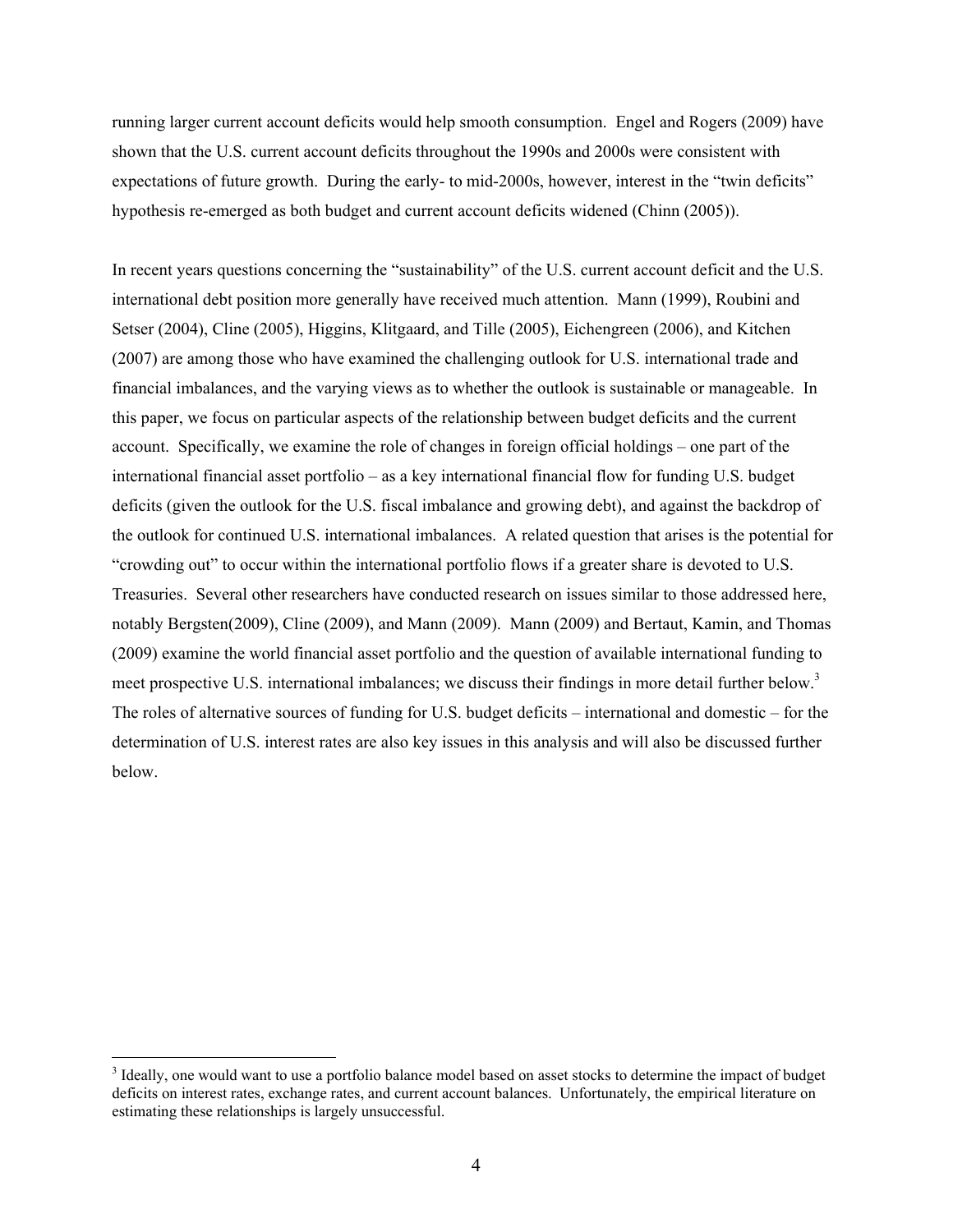running larger current account deficits would help smooth consumption. Engel and Rogers (2009) have shown that the U.S. current account deficits throughout the 1990s and 2000s were consistent with expectations of future growth. During the early- to mid-2000s, however, interest in the "twin deficits" hypothesis re-emerged as both budget and current account deficits widened (Chinn (2005)).

In recent years questions concerning the "sustainability" of the U.S. current account deficit and the U.S. international debt position more generally have received much attention. Mann (1999), Roubini and Setser (2004), Cline (2005), Higgins, Klitgaard, and Tille (2005), Eichengreen (2006), and Kitchen (2007) are among those who have examined the challenging outlook for U.S. international trade and financial imbalances, and the varying views as to whether the outlook is sustainable or manageable. In this paper, we focus on particular aspects of the relationship between budget deficits and the current account. Specifically, we examine the role of changes in foreign official holdings – one part of the international financial asset portfolio – as a key international financial flow for funding U.S. budget deficits (given the outlook for the U.S. fiscal imbalance and growing debt), and against the backdrop of the outlook for continued U.S. international imbalances. A related question that arises is the potential for "crowding out" to occur within the international portfolio flows if a greater share is devoted to U.S. Treasuries. Several other researchers have conducted research on issues similar to those addressed here, notably Bergsten(2009), Cline (2009), and Mann (2009). Mann (2009) and Bertaut, Kamin, and Thomas (2009) examine the world financial asset portfolio and the question of available international funding to meet prospective U.S. international imbalances; we discuss their findings in more detail further below.<sup>3</sup> The roles of alternative sources of funding for U.S. budget deficits – international and domestic – for the determination of U.S. interest rates are also key issues in this analysis and will also be discussed further below.

<sup>&</sup>lt;sup>3</sup> Ideally, one would want to use a portfolio balance model based on asset stocks to determine the impact of budget deficits on interest rates, exchange rates, and current account balances. Unfortunately, the empirical literature on estimating these relationships is largely unsuccessful.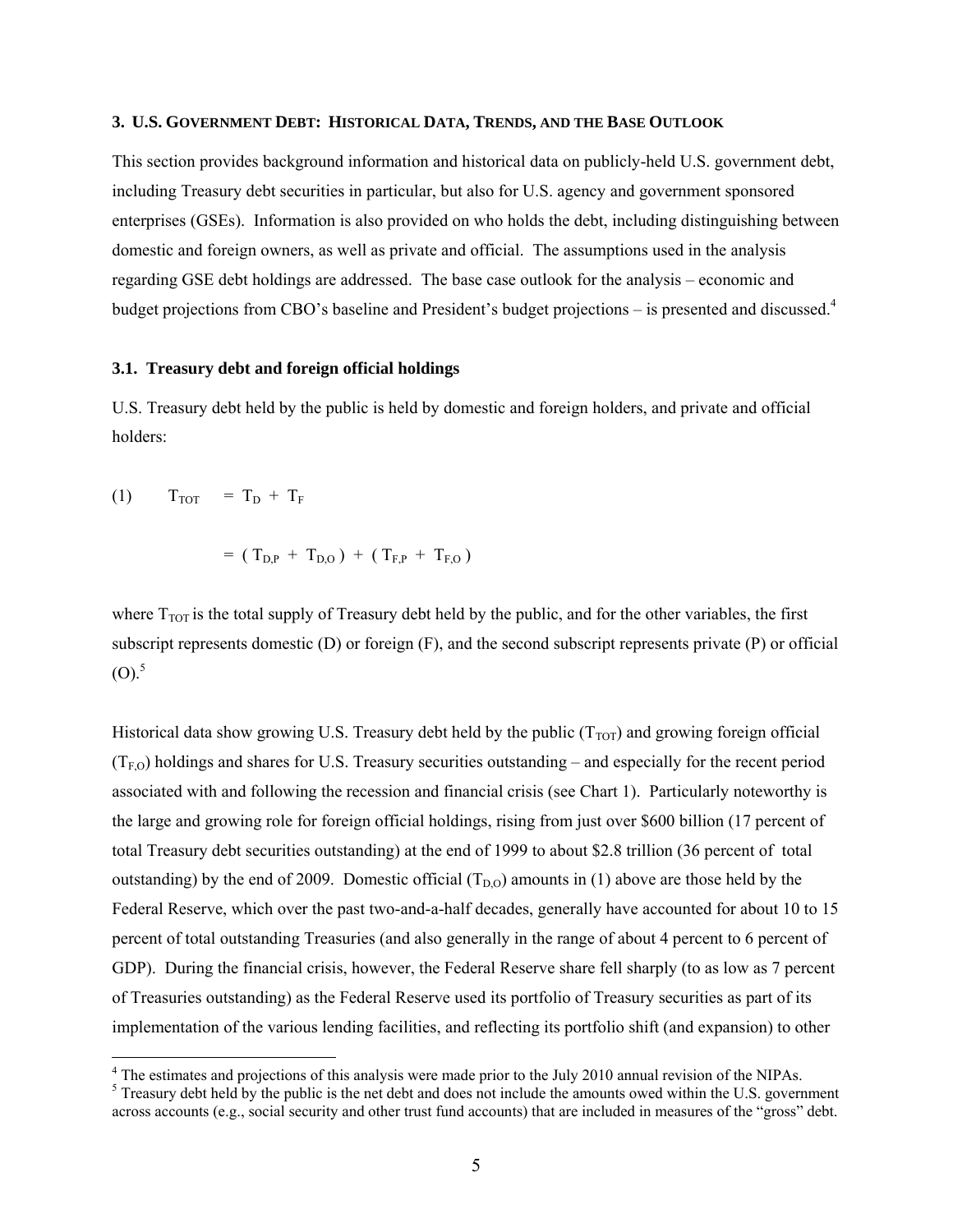#### **3. U.S. GOVERNMENT DEBT: HISTORICAL DATA, TRENDS, AND THE BASE OUTLOOK**

This section provides background information and historical data on publicly-held U.S. government debt, including Treasury debt securities in particular, but also for U.S. agency and government sponsored enterprises (GSEs). Information is also provided on who holds the debt, including distinguishing between domestic and foreign owners, as well as private and official. The assumptions used in the analysis regarding GSE debt holdings are addressed. The base case outlook for the analysis – economic and budget projections from CBO's baseline and President's budget projections – is presented and discussed.<sup>4</sup>

#### **3.1. Treasury debt and foreign official holdings**

U.S. Treasury debt held by the public is held by domestic and foreign holders, and private and official holders:

$$
(1) \qquad T_{TOT} = T_D + T_F
$$

 $\overline{a}$ 

$$
= (T_{D,P} + T_{D,O}) + (T_{F,P} + T_{F,O})
$$

where  $T_{TOT}$  is the total supply of Treasury debt held by the public, and for the other variables, the first subscript represents domestic (D) or foreign (F), and the second subscript represents private (P) or official  $(0)^{5}$ 

Historical data show growing U.S. Treasury debt held by the public  $(T_{TOT})$  and growing foreign official  $(T_{F,O})$  holdings and shares for U.S. Treasury securities outstanding – and especially for the recent period associated with and following the recession and financial crisis (see Chart 1). Particularly noteworthy is the large and growing role for foreign official holdings, rising from just over \$600 billion (17 percent of total Treasury debt securities outstanding) at the end of 1999 to about \$2.8 trillion (36 percent of total outstanding) by the end of 2009. Domestic official  $(T_{D,0})$  amounts in (1) above are those held by the Federal Reserve, which over the past two-and-a-half decades, generally have accounted for about 10 to 15 percent of total outstanding Treasuries (and also generally in the range of about 4 percent to 6 percent of GDP). During the financial crisis, however, the Federal Reserve share fell sharply (to as low as 7 percent of Treasuries outstanding) as the Federal Reserve used its portfolio of Treasury securities as part of its implementation of the various lending facilities, and reflecting its portfolio shift (and expansion) to other

<sup>&</sup>lt;sup>4</sup> The estimates and projections of this analysis were made prior to the July 2010 annual revision of the NIPAs.  $\frac{5}{2}$  Treesury day hald by the public is the net day to get day and does not include the amounts awed w

<sup>&</sup>lt;sup>5</sup> Treasury debt held by the public is the net debt and does not include the amounts owed within the U.S. government across accounts (e.g., social security and other trust fund accounts) that are included in measures of the "gross" debt.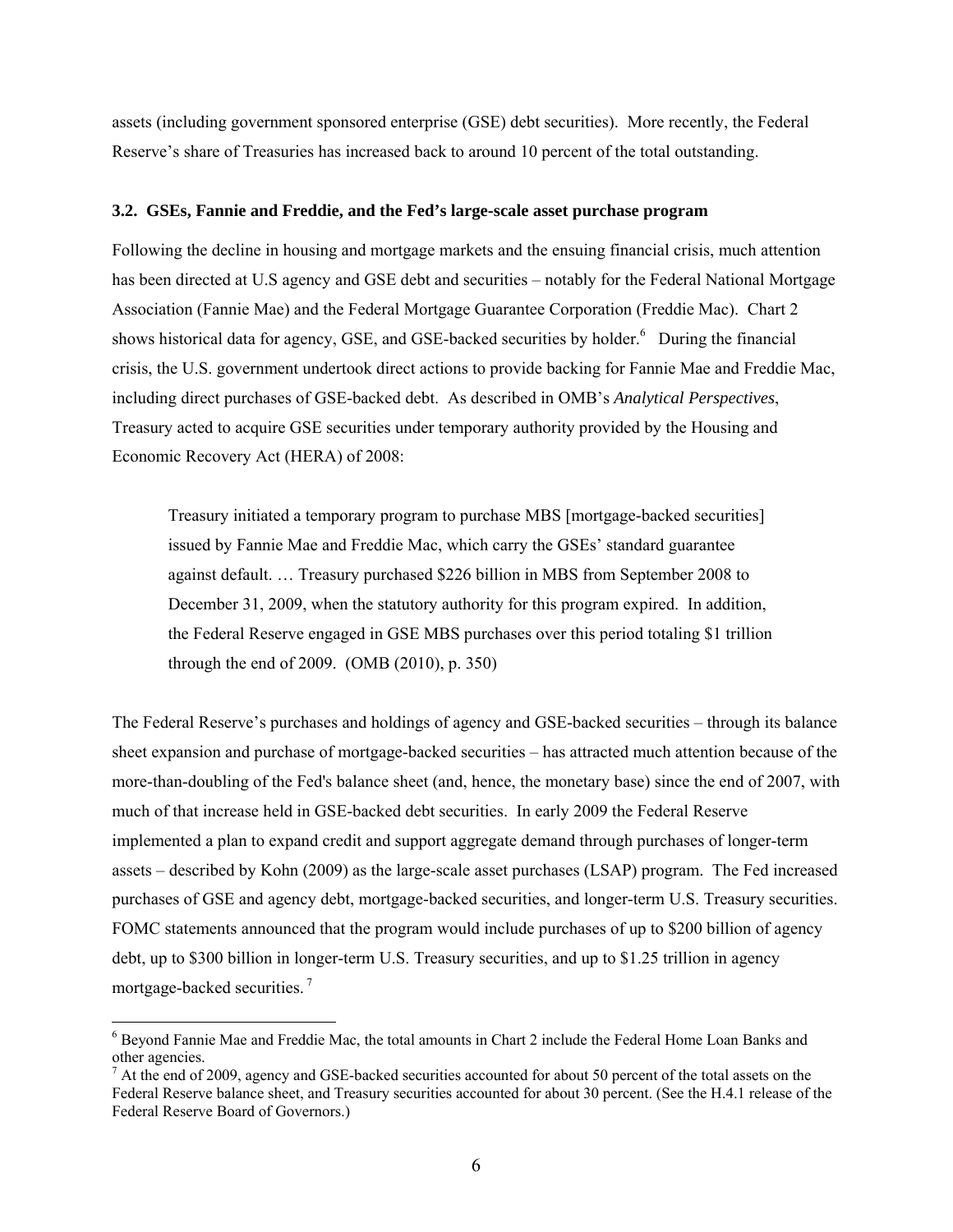assets (including government sponsored enterprise (GSE) debt securities). More recently, the Federal Reserve's share of Treasuries has increased back to around 10 percent of the total outstanding.

#### **3.2. GSEs, Fannie and Freddie, and the Fed's large-scale asset purchase program**

Following the decline in housing and mortgage markets and the ensuing financial crisis, much attention has been directed at U.S agency and GSE debt and securities – notably for the Federal National Mortgage Association (Fannie Mae) and the Federal Mortgage Guarantee Corporation (Freddie Mac). Chart 2 shows historical data for agency, GSE, and GSE-backed securities by holder.<sup>6</sup> During the financial crisis, the U.S. government undertook direct actions to provide backing for Fannie Mae and Freddie Mac, including direct purchases of GSE-backed debt. As described in OMB's *Analytical Perspectives*, Treasury acted to acquire GSE securities under temporary authority provided by the Housing and Economic Recovery Act (HERA) of 2008:

Treasury initiated a temporary program to purchase MBS [mortgage-backed securities] issued by Fannie Mae and Freddie Mac, which carry the GSEs' standard guarantee against default. … Treasury purchased \$226 billion in MBS from September 2008 to December 31, 2009, when the statutory authority for this program expired. In addition, the Federal Reserve engaged in GSE MBS purchases over this period totaling \$1 trillion through the end of 2009. (OMB (2010), p. 350)

The Federal Reserve's purchases and holdings of agency and GSE-backed securities – through its balance sheet expansion and purchase of mortgage-backed securities – has attracted much attention because of the more-than-doubling of the Fed's balance sheet (and, hence, the monetary base) since the end of 2007, with much of that increase held in GSE-backed debt securities. In early 2009 the Federal Reserve implemented a plan to expand credit and support aggregate demand through purchases of longer-term assets – described by Kohn (2009) as the large-scale asset purchases (LSAP) program. The Fed increased purchases of GSE and agency debt, mortgage-backed securities, and longer-term U.S. Treasury securities. FOMC statements announced that the program would include purchases of up to \$200 billion of agency debt, up to \$300 billion in longer-term U.S. Treasury securities, and up to \$1.25 trillion in agency mortgage-backed securities. 7

<sup>&</sup>lt;sup>6</sup> Beyond Fannie Mae and Freddie Mac, the total amounts in Chart 2 include the Federal Home Loan Banks and other agencies.

 $<sup>7</sup>$  At the end of 2009, agency and GSE-backed securities accounted for about 50 percent of the total assets on the</sup> Federal Reserve balance sheet, and Treasury securities accounted for about 30 percent. (See the H.4.1 release of the Federal Reserve Board of Governors.)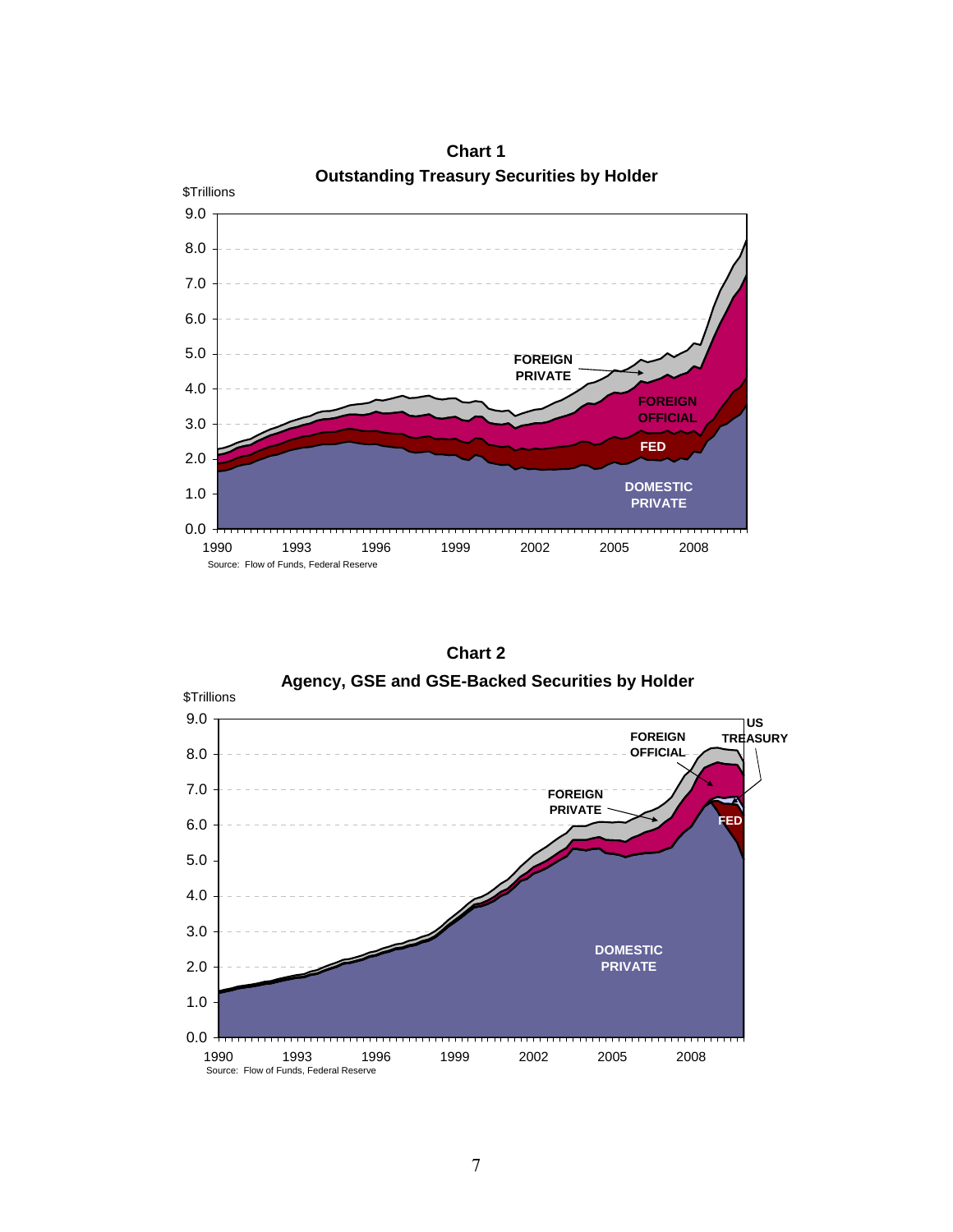

**Outstanding Treasury Securities by Holder Chart 1**

**Chart 2**

**Agency, GSE and GSE-Backed Securities by Holder**

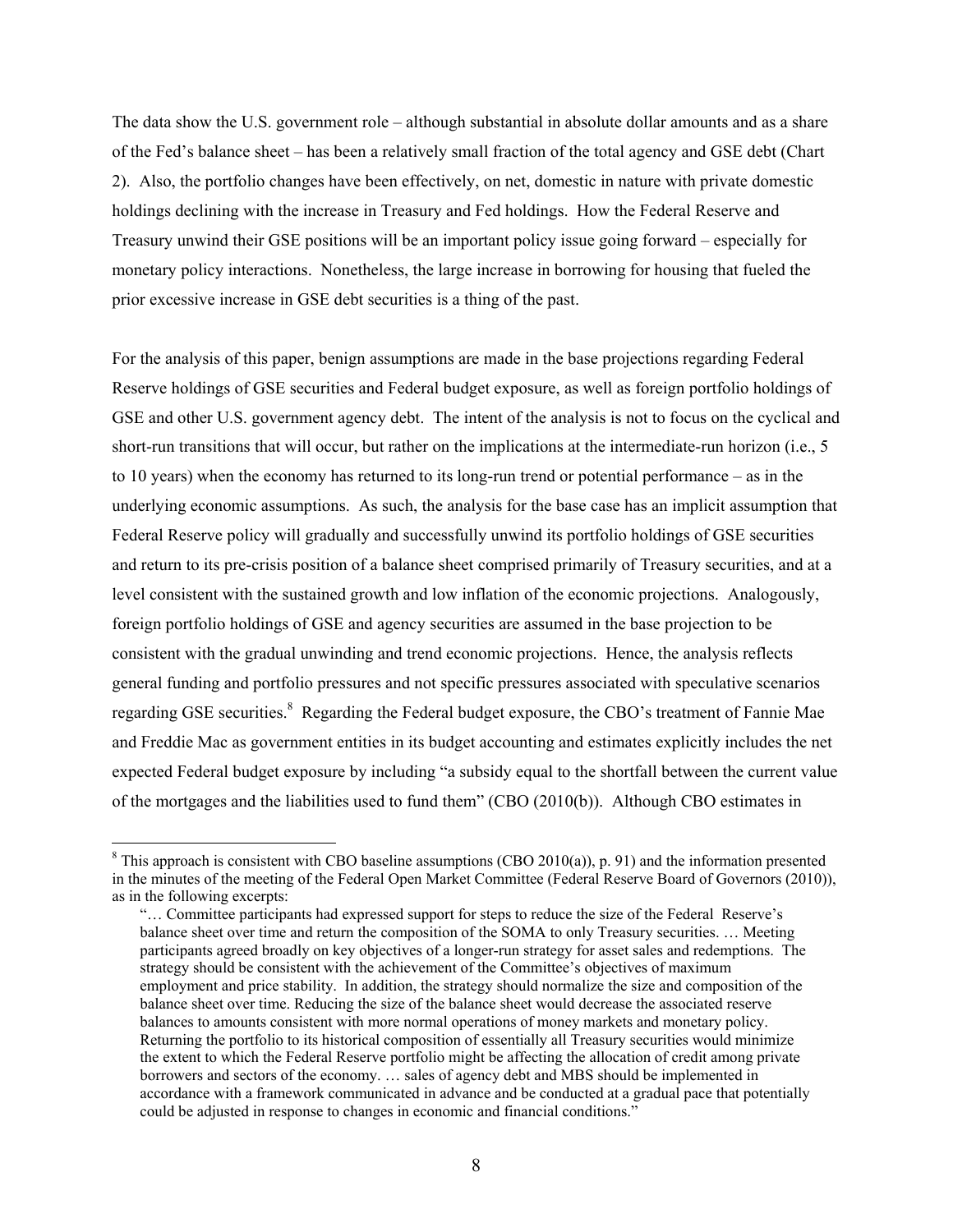The data show the U.S. government role – although substantial in absolute dollar amounts and as a share of the Fed's balance sheet – has been a relatively small fraction of the total agency and GSE debt (Chart 2). Also, the portfolio changes have been effectively, on net, domestic in nature with private domestic holdings declining with the increase in Treasury and Fed holdings. How the Federal Reserve and Treasury unwind their GSE positions will be an important policy issue going forward – especially for monetary policy interactions. Nonetheless, the large increase in borrowing for housing that fueled the prior excessive increase in GSE debt securities is a thing of the past.

For the analysis of this paper, benign assumptions are made in the base projections regarding Federal Reserve holdings of GSE securities and Federal budget exposure, as well as foreign portfolio holdings of GSE and other U.S. government agency debt. The intent of the analysis is not to focus on the cyclical and short-run transitions that will occur, but rather on the implications at the intermediate-run horizon (i.e., 5 to 10 years) when the economy has returned to its long-run trend or potential performance – as in the underlying economic assumptions. As such, the analysis for the base case has an implicit assumption that Federal Reserve policy will gradually and successfully unwind its portfolio holdings of GSE securities and return to its pre-crisis position of a balance sheet comprised primarily of Treasury securities, and at a level consistent with the sustained growth and low inflation of the economic projections. Analogously, foreign portfolio holdings of GSE and agency securities are assumed in the base projection to be consistent with the gradual unwinding and trend economic projections. Hence, the analysis reflects general funding and portfolio pressures and not specific pressures associated with speculative scenarios regarding GSE securities.<sup>8</sup> Regarding the Federal budget exposure, the CBO's treatment of Fannie Mae and Freddie Mac as government entities in its budget accounting and estimates explicitly includes the net expected Federal budget exposure by including "a subsidy equal to the shortfall between the current value of the mortgages and the liabilities used to fund them" (CBO (2010(b)). Although CBO estimates in

<sup>&</sup>lt;sup>8</sup> This approach is consistent with CBO baseline assumptions (CBO 2010(a)), p. 91) and the information presented in the minutes of the meeting of the Federal Open Market Committee (Federal Reserve Board of Governors (2010)), as in the following excerpts:

<sup>&</sup>quot;… Committee participants had expressed support for steps to reduce the size of the Federal Reserve's balance sheet over time and return the composition of the SOMA to only Treasury securities. … Meeting participants agreed broadly on key objectives of a longer-run strategy for asset sales and redemptions. The strategy should be consistent with the achievement of the Committee's objectives of maximum employment and price stability. In addition, the strategy should normalize the size and composition of the balance sheet over time. Reducing the size of the balance sheet would decrease the associated reserve balances to amounts consistent with more normal operations of money markets and monetary policy. Returning the portfolio to its historical composition of essentially all Treasury securities would minimize the extent to which the Federal Reserve portfolio might be affecting the allocation of credit among private borrowers and sectors of the economy. … sales of agency debt and MBS should be implemented in accordance with a framework communicated in advance and be conducted at a gradual pace that potentially could be adjusted in response to changes in economic and financial conditions."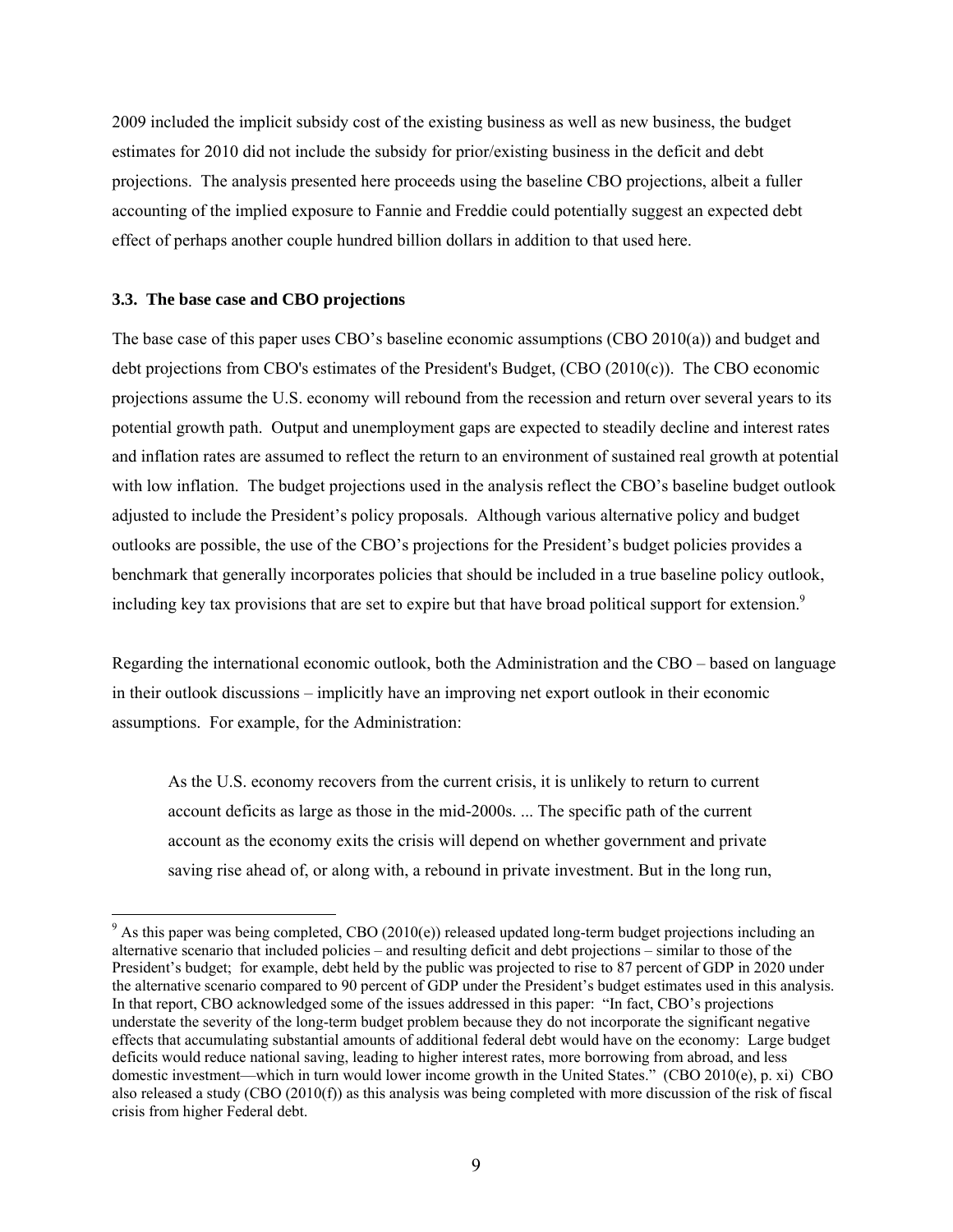2009 included the implicit subsidy cost of the existing business as well as new business, the budget estimates for 2010 did not include the subsidy for prior/existing business in the deficit and debt projections. The analysis presented here proceeds using the baseline CBO projections, albeit a fuller accounting of the implied exposure to Fannie and Freddie could potentially suggest an expected debt effect of perhaps another couple hundred billion dollars in addition to that used here.

#### **3.3. The base case and CBO projections**

 $\overline{a}$ 

The base case of this paper uses CBO's baseline economic assumptions (CBO 2010(a)) and budget and debt projections from CBO's estimates of the President's Budget, (CBO (2010(c)). The CBO economic projections assume the U.S. economy will rebound from the recession and return over several years to its potential growth path. Output and unemployment gaps are expected to steadily decline and interest rates and inflation rates are assumed to reflect the return to an environment of sustained real growth at potential with low inflation. The budget projections used in the analysis reflect the CBO's baseline budget outlook adjusted to include the President's policy proposals. Although various alternative policy and budget outlooks are possible, the use of the CBO's projections for the President's budget policies provides a benchmark that generally incorporates policies that should be included in a true baseline policy outlook, including key tax provisions that are set to expire but that have broad political support for extension.<sup>9</sup>

Regarding the international economic outlook, both the Administration and the CBO – based on language in their outlook discussions – implicitly have an improving net export outlook in their economic assumptions. For example, for the Administration:

As the U.S. economy recovers from the current crisis, it is unlikely to return to current account deficits as large as those in the mid-2000s. ... The specific path of the current account as the economy exits the crisis will depend on whether government and private saving rise ahead of, or along with, a rebound in private investment. But in the long run,

 $9$  As this paper was being completed, CBO (2010(e)) released updated long-term budget projections including an alternative scenario that included policies – and resulting deficit and debt projections – similar to those of the President's budget; for example, debt held by the public was projected to rise to 87 percent of GDP in 2020 under the alternative scenario compared to 90 percent of GDP under the President's budget estimates used in this analysis. In that report, CBO acknowledged some of the issues addressed in this paper: "In fact, CBO's projections understate the severity of the long-term budget problem because they do not incorporate the significant negative effects that accumulating substantial amounts of additional federal debt would have on the economy: Large budget deficits would reduce national saving, leading to higher interest rates, more borrowing from abroad, and less domestic investment—which in turn would lower income growth in the United States." (CBO 2010(e), p. xi) CBO also released a study (CBO (2010(f)) as this analysis was being completed with more discussion of the risk of fiscal crisis from higher Federal debt.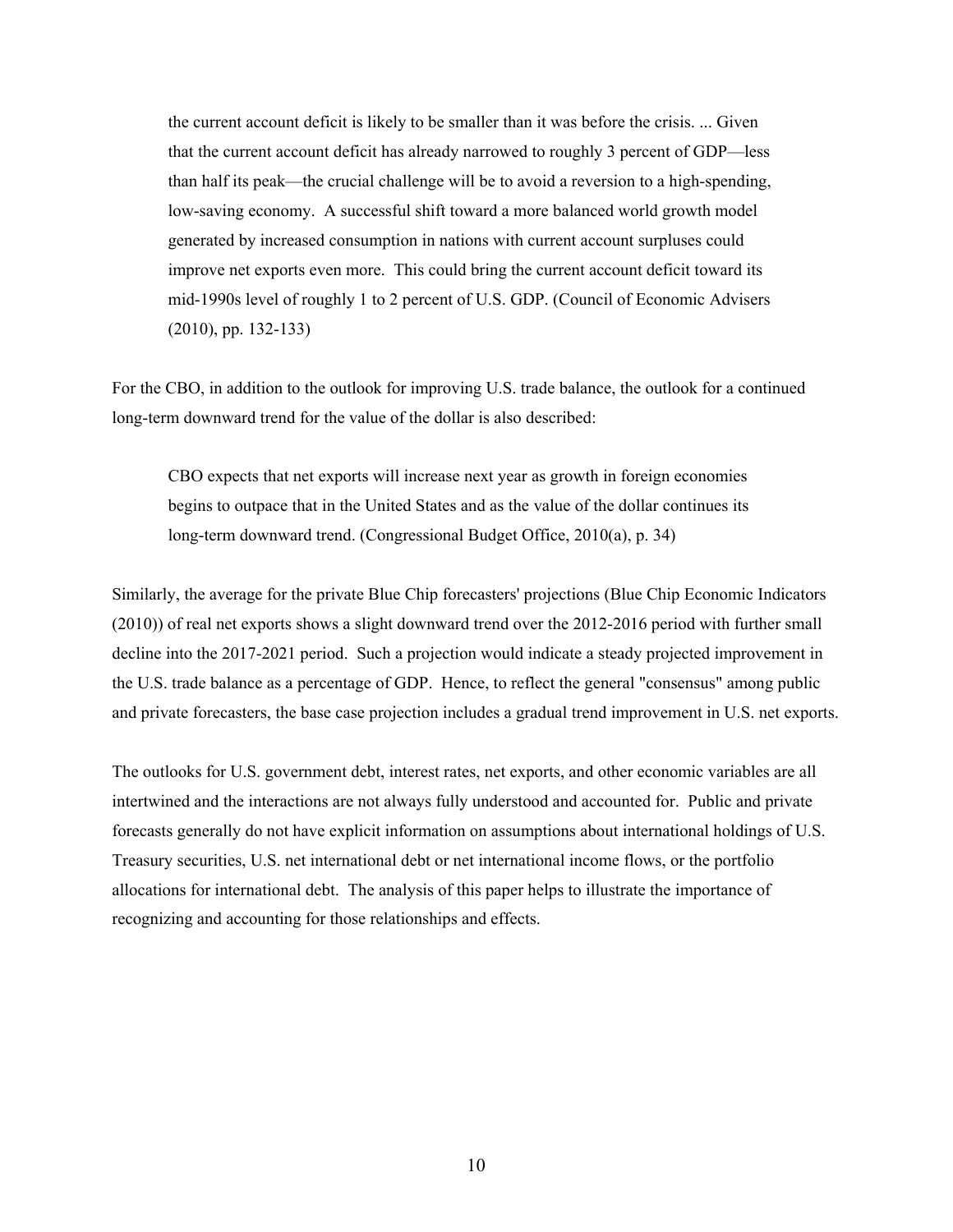the current account deficit is likely to be smaller than it was before the crisis. ... Given that the current account deficit has already narrowed to roughly 3 percent of GDP—less than half its peak—the crucial challenge will be to avoid a reversion to a high-spending, low-saving economy. A successful shift toward a more balanced world growth model generated by increased consumption in nations with current account surpluses could improve net exports even more. This could bring the current account deficit toward its mid-1990s level of roughly 1 to 2 percent of U.S. GDP. (Council of Economic Advisers (2010), pp. 132-133)

For the CBO, in addition to the outlook for improving U.S. trade balance, the outlook for a continued long-term downward trend for the value of the dollar is also described:

CBO expects that net exports will increase next year as growth in foreign economies begins to outpace that in the United States and as the value of the dollar continues its long-term downward trend. (Congressional Budget Office, 2010(a), p. 34)

Similarly, the average for the private Blue Chip forecasters' projections (Blue Chip Economic Indicators (2010)) of real net exports shows a slight downward trend over the 2012-2016 period with further small decline into the 2017-2021 period. Such a projection would indicate a steady projected improvement in the U.S. trade balance as a percentage of GDP. Hence, to reflect the general "consensus" among public and private forecasters, the base case projection includes a gradual trend improvement in U.S. net exports.

The outlooks for U.S. government debt, interest rates, net exports, and other economic variables are all intertwined and the interactions are not always fully understood and accounted for. Public and private forecasts generally do not have explicit information on assumptions about international holdings of U.S. Treasury securities, U.S. net international debt or net international income flows, or the portfolio allocations for international debt. The analysis of this paper helps to illustrate the importance of recognizing and accounting for those relationships and effects.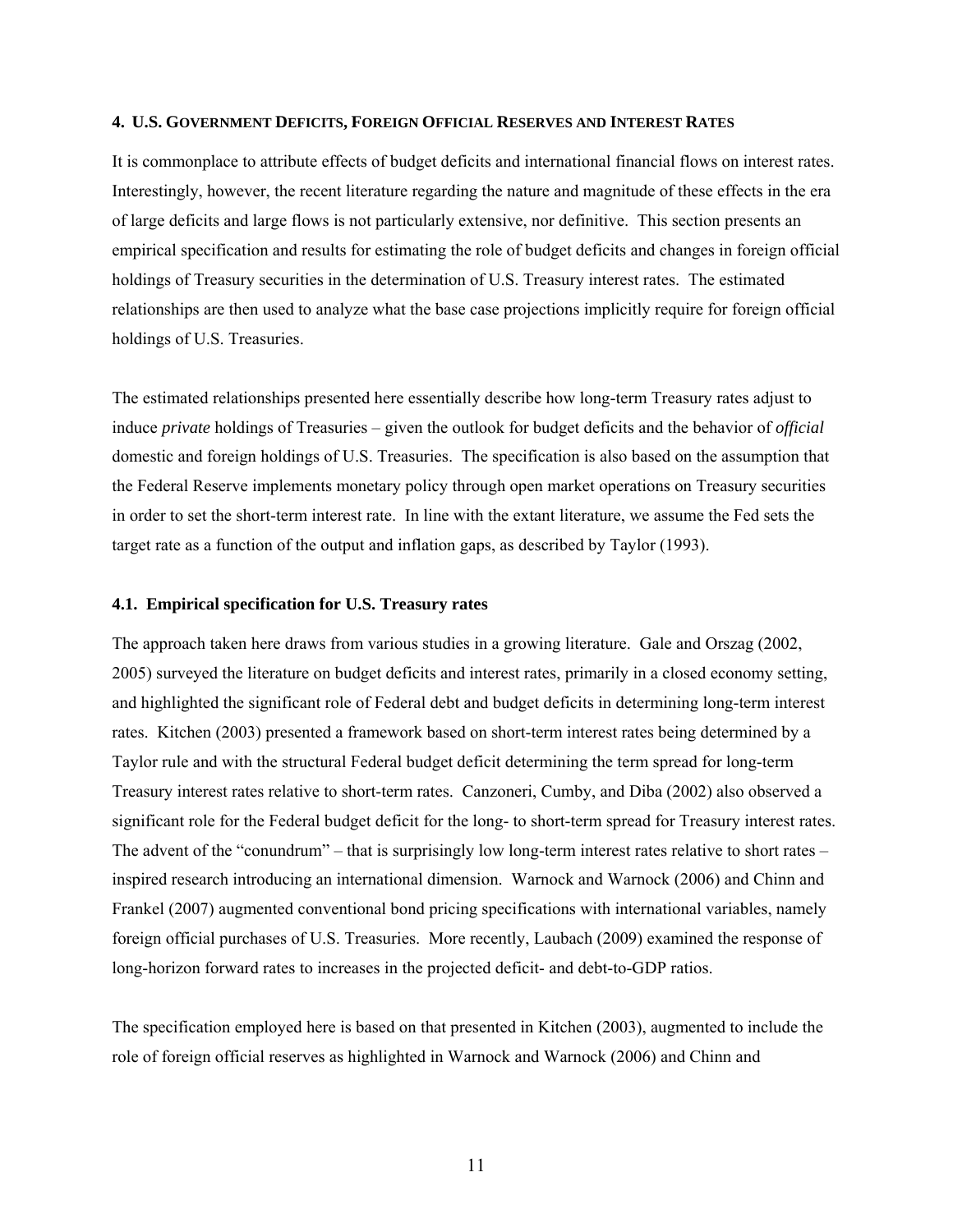#### **4. U.S. GOVERNMENT DEFICITS, FOREIGN OFFICIAL RESERVES AND INTEREST RATES**

It is commonplace to attribute effects of budget deficits and international financial flows on interest rates. Interestingly, however, the recent literature regarding the nature and magnitude of these effects in the era of large deficits and large flows is not particularly extensive, nor definitive. This section presents an empirical specification and results for estimating the role of budget deficits and changes in foreign official holdings of Treasury securities in the determination of U.S. Treasury interest rates. The estimated relationships are then used to analyze what the base case projections implicitly require for foreign official holdings of U.S. Treasuries.

The estimated relationships presented here essentially describe how long-term Treasury rates adjust to induce *private* holdings of Treasuries – given the outlook for budget deficits and the behavior of *official* domestic and foreign holdings of U.S. Treasuries. The specification is also based on the assumption that the Federal Reserve implements monetary policy through open market operations on Treasury securities in order to set the short-term interest rate. In line with the extant literature, we assume the Fed sets the target rate as a function of the output and inflation gaps, as described by Taylor (1993).

#### **4.1. Empirical specification for U.S. Treasury rates**

The approach taken here draws from various studies in a growing literature. Gale and Orszag (2002, 2005) surveyed the literature on budget deficits and interest rates, primarily in a closed economy setting, and highlighted the significant role of Federal debt and budget deficits in determining long-term interest rates. Kitchen (2003) presented a framework based on short-term interest rates being determined by a Taylor rule and with the structural Federal budget deficit determining the term spread for long-term Treasury interest rates relative to short-term rates. Canzoneri, Cumby, and Diba (2002) also observed a significant role for the Federal budget deficit for the long- to short-term spread for Treasury interest rates. The advent of the "conundrum" – that is surprisingly low long-term interest rates relative to short rates – inspired research introducing an international dimension. Warnock and Warnock (2006) and Chinn and Frankel (2007) augmented conventional bond pricing specifications with international variables, namely foreign official purchases of U.S. Treasuries. More recently, Laubach (2009) examined the response of long-horizon forward rates to increases in the projected deficit- and debt-to-GDP ratios.

The specification employed here is based on that presented in Kitchen (2003), augmented to include the role of foreign official reserves as highlighted in Warnock and Warnock (2006) and Chinn and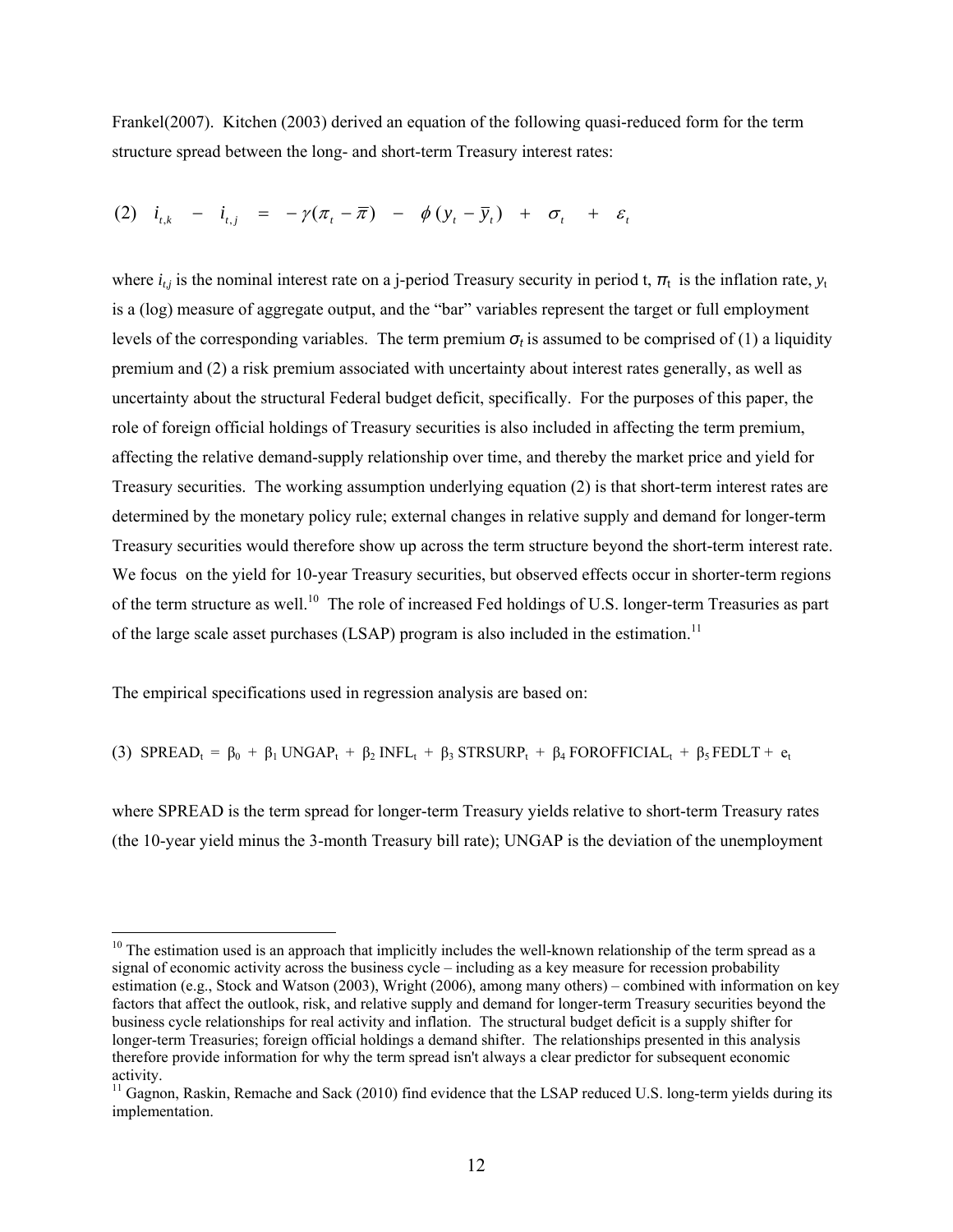Frankel(2007). Kitchen (2003) derived an equation of the following quasi-reduced form for the term structure spread between the long- and short-term Treasury interest rates:

(2) 
$$
i_{t,k}
$$
 -  $i_{t,j}$  =  $-\gamma(\pi_t - \bar{\pi})$  -  $\phi(y_t - \bar{y}_t)$  +  $\sigma_t$  +  $\varepsilon_t$ 

where  $i_{t,j}$  is the nominal interest rate on a j-period Treasury security in period t,  $\pi_t$  is the inflation rate,  $y_t$ is a (log) measure of aggregate output, and the "bar" variables represent the target or full employment levels of the corresponding variables. The term premium  $\sigma_t$  is assumed to be comprised of (1) a liquidity premium and (2) a risk premium associated with uncertainty about interest rates generally, as well as uncertainty about the structural Federal budget deficit, specifically. For the purposes of this paper, the role of foreign official holdings of Treasury securities is also included in affecting the term premium, affecting the relative demand-supply relationship over time, and thereby the market price and yield for Treasury securities. The working assumption underlying equation (2) is that short-term interest rates are determined by the monetary policy rule; external changes in relative supply and demand for longer-term Treasury securities would therefore show up across the term structure beyond the short-term interest rate. We focus on the yield for 10-year Treasury securities, but observed effects occur in shorter-term regions of the term structure as well.<sup>10</sup> The role of increased Fed holdings of U.S. longer-term Treasuries as part of the large scale asset purchases (LSAP) program is also included in the estimation.<sup>11</sup>

The empirical specifications used in regression analysis are based on:

 $\overline{a}$ 

(3) SPREAD<sub>t</sub> =  $\beta_0$  +  $\beta_1$  UNGAP<sub>t</sub> +  $\beta_2$  INFL<sub>t</sub> +  $\beta_3$  STRSURP<sub>t</sub> +  $\beta_4$  FOROFFICIAL<sub>t</sub> +  $\beta_5$  FEDLT +  $e_t$ 

where SPREAD is the term spread for longer-term Treasury yields relative to short-term Treasury rates (the 10-year yield minus the 3-month Treasury bill rate); UNGAP is the deviation of the unemployment

 $10$  The estimation used is an approach that implicitly includes the well-known relationship of the term spread as a signal of economic activity across the business cycle – including as a key measure for recession probability estimation (e.g., Stock and Watson (2003), Wright (2006), among many others) – combined with information on key factors that affect the outlook, risk, and relative supply and demand for longer-term Treasury securities beyond the business cycle relationships for real activity and inflation. The structural budget deficit is a supply shifter for longer-term Treasuries; foreign official holdings a demand shifter. The relationships presented in this analysis therefore provide information for why the term spread isn't always a clear predictor for subsequent economic activity.

<sup>&</sup>lt;sup>11</sup> Gagnon, Raskin, Remache and Sack (2010) find evidence that the LSAP reduced U.S. long-term yields during its implementation.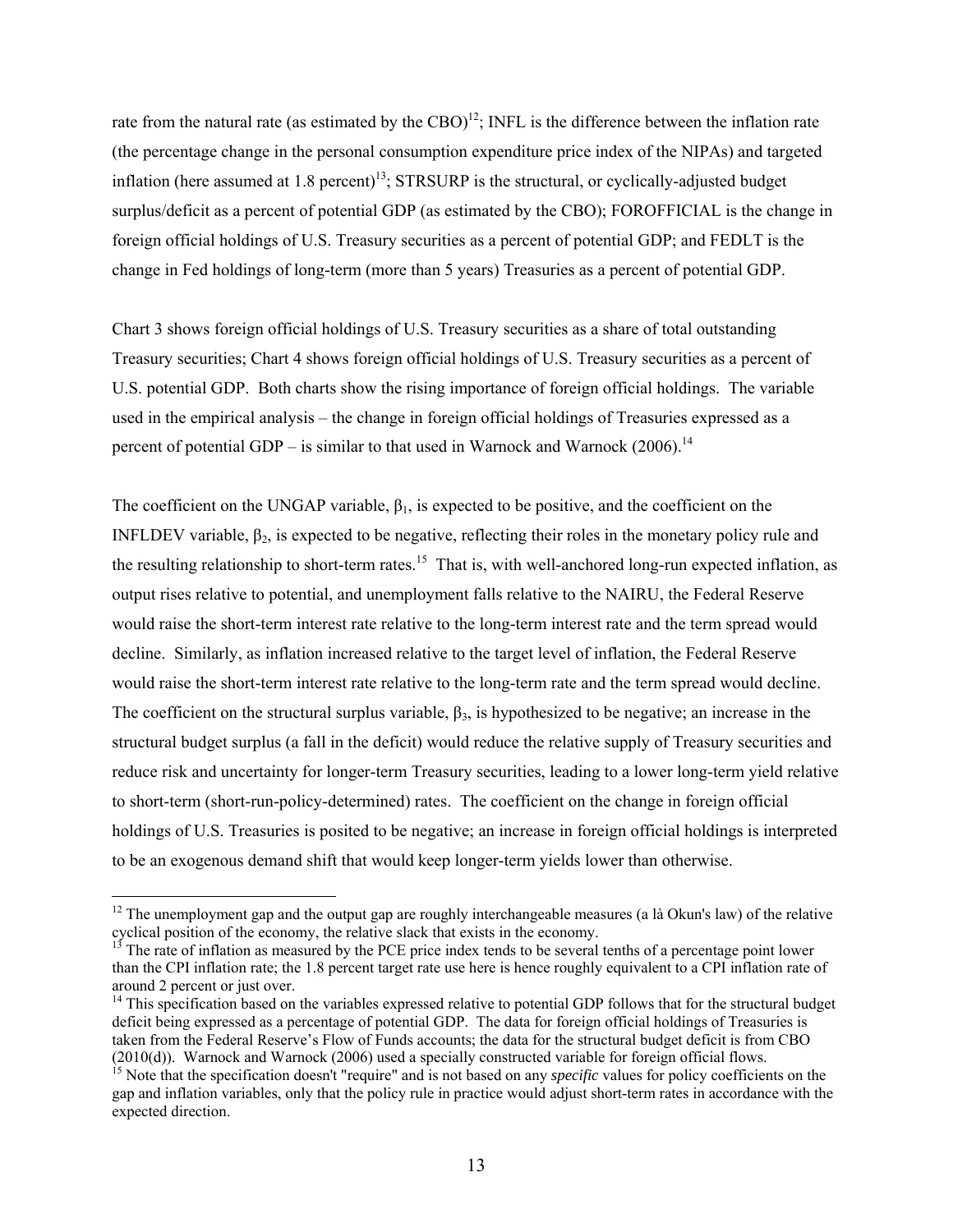rate from the natural rate (as estimated by the CBO)<sup>12</sup>; INFL is the difference between the inflation rate (the percentage change in the personal consumption expenditure price index of the NIPAs) and targeted inflation (here assumed at  $1.8$  percent)<sup>13</sup>; STRSURP is the structural, or cyclically-adjusted budget surplus/deficit as a percent of potential GDP (as estimated by the CBO); FOROFFICIAL is the change in foreign official holdings of U.S. Treasury securities as a percent of potential GDP; and FEDLT is the change in Fed holdings of long-term (more than 5 years) Treasuries as a percent of potential GDP.

Chart 3 shows foreign official holdings of U.S. Treasury securities as a share of total outstanding Treasury securities; Chart 4 shows foreign official holdings of U.S. Treasury securities as a percent of U.S. potential GDP. Both charts show the rising importance of foreign official holdings. The variable used in the empirical analysis – the change in foreign official holdings of Treasuries expressed as a percent of potential GDP – is similar to that used in Warnock and Warnock (2006).<sup>14</sup>

The coefficient on the UNGAP variable,  $\beta_1$ , is expected to be positive, and the coefficient on the INFLDEV variable,  $β_2$ , is expected to be negative, reflecting their roles in the monetary policy rule and the resulting relationship to short-term rates.<sup>15</sup> That is, with well-anchored long-run expected inflation, as output rises relative to potential, and unemployment falls relative to the NAIRU, the Federal Reserve would raise the short-term interest rate relative to the long-term interest rate and the term spread would decline. Similarly, as inflation increased relative to the target level of inflation, the Federal Reserve would raise the short-term interest rate relative to the long-term rate and the term spread would decline. The coefficient on the structural surplus variable,  $\beta_3$ , is hypothesized to be negative; an increase in the structural budget surplus (a fall in the deficit) would reduce the relative supply of Treasury securities and reduce risk and uncertainty for longer-term Treasury securities, leading to a lower long-term yield relative to short-term (short-run-policy-determined) rates. The coefficient on the change in foreign official holdings of U.S. Treasuries is posited to be negative; an increase in foreign official holdings is interpreted to be an exogenous demand shift that would keep longer-term yields lower than otherwise.

 $12$  The unemployment gap and the output gap are roughly interchangeable measures (a là Okun's law) of the relative cyclical position of the economy, the relative slack that exists in the economy.<br><sup>13</sup> The rate of inflation as measured by the PCE price index tends to be several tenths of a percentage point lower

than the CPI inflation rate; the 1.8 percent target rate use here is hence roughly equivalent to a CPI inflation rate of around 2 percent or just over.

 $<sup>14</sup>$  This specification based on the variables expressed relative to potential GDP follows that for the structural budget</sup> deficit being expressed as a percentage of potential GDP. The data for foreign official holdings of Treasuries is taken from the Federal Reserve's Flow of Funds accounts; the data for the structural budget deficit is from CBO  $(2010(d))$ . Warnock and Warnock  $(2006)$  used a specially constructed variable for foreign official flows.

<sup>&</sup>lt;sup>15</sup> Note that the specification doesn't "require" and is not based on any *specific* values for policy coefficients on the gap and inflation variables, only that the policy rule in practice would adjust short-term rates in accordance with the expected direction.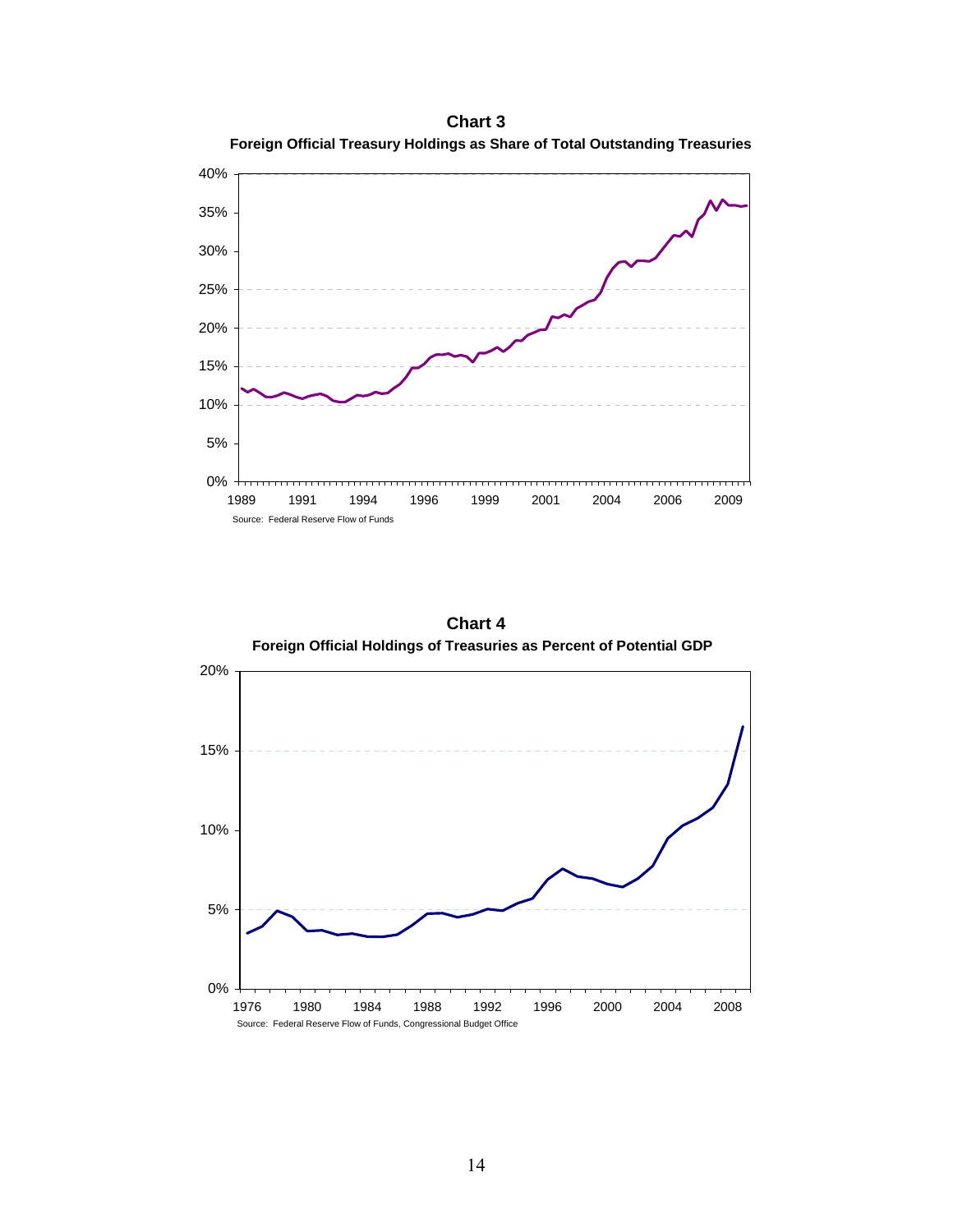

**Chart 3** 

**Foreign Official Holdings of Treasuries as Percent of Potential GDP Chart 4** 

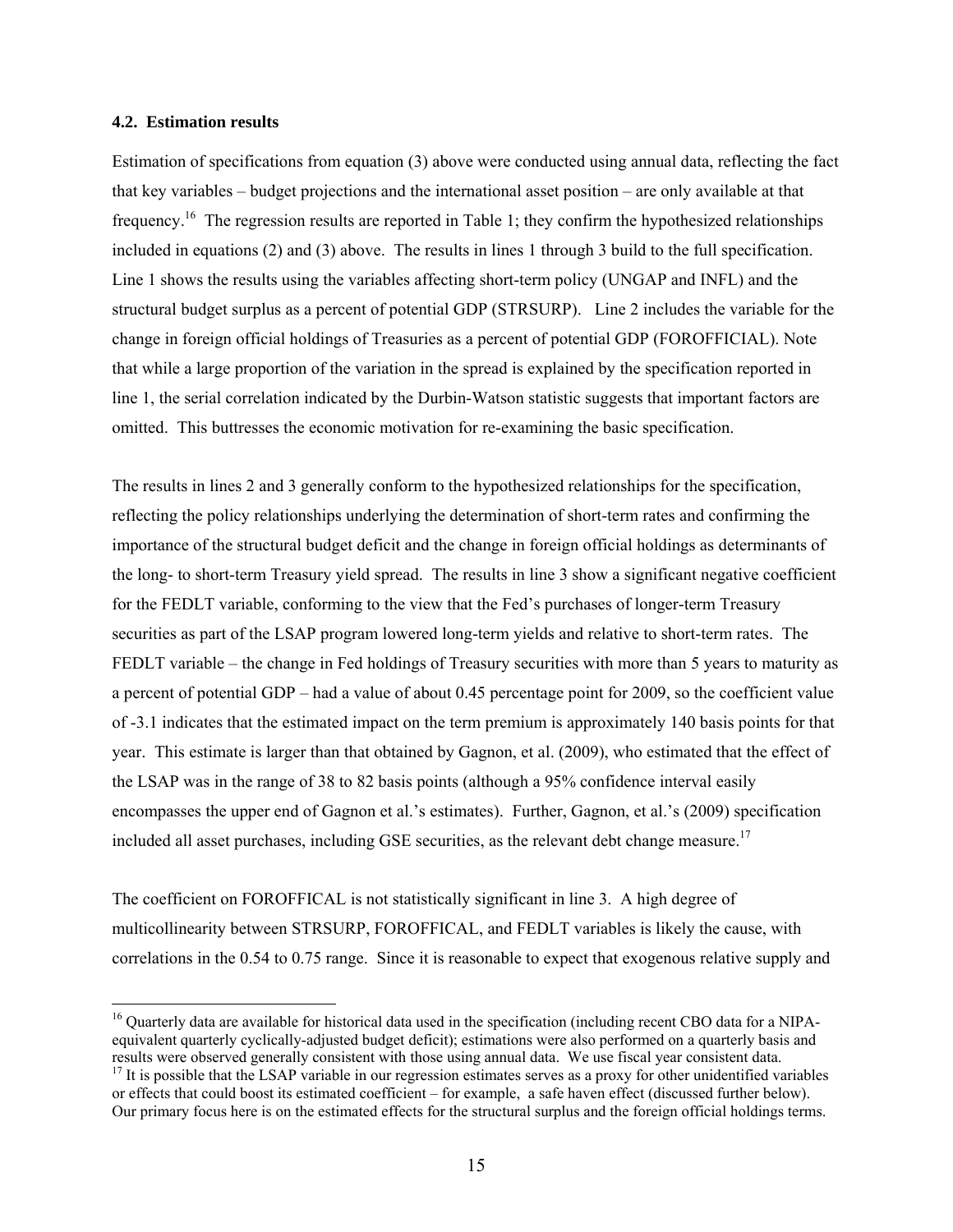#### **4.2. Estimation results**

 $\overline{a}$ 

Estimation of specifications from equation (3) above were conducted using annual data, reflecting the fact that key variables – budget projections and the international asset position – are only available at that frequency.16 The regression results are reported in Table 1; they confirm the hypothesized relationships included in equations (2) and (3) above. The results in lines 1 through 3 build to the full specification. Line 1 shows the results using the variables affecting short-term policy (UNGAP and INFL) and the structural budget surplus as a percent of potential GDP (STRSURP). Line 2 includes the variable for the change in foreign official holdings of Treasuries as a percent of potential GDP (FOROFFICIAL). Note that while a large proportion of the variation in the spread is explained by the specification reported in line 1, the serial correlation indicated by the Durbin-Watson statistic suggests that important factors are omitted. This buttresses the economic motivation for re-examining the basic specification.

The results in lines 2 and 3 generally conform to the hypothesized relationships for the specification, reflecting the policy relationships underlying the determination of short-term rates and confirming the importance of the structural budget deficit and the change in foreign official holdings as determinants of the long- to short-term Treasury yield spread. The results in line 3 show a significant negative coefficient for the FEDLT variable, conforming to the view that the Fed's purchases of longer-term Treasury securities as part of the LSAP program lowered long-term yields and relative to short-term rates. The FEDLT variable – the change in Fed holdings of Treasury securities with more than 5 years to maturity as a percent of potential GDP – had a value of about 0.45 percentage point for 2009, so the coefficient value of -3.1 indicates that the estimated impact on the term premium is approximately 140 basis points for that year. This estimate is larger than that obtained by Gagnon, et al. (2009), who estimated that the effect of the LSAP was in the range of 38 to 82 basis points (although a 95% confidence interval easily encompasses the upper end of Gagnon et al.'s estimates). Further, Gagnon, et al.'s (2009) specification included all asset purchases, including GSE securities, as the relevant debt change measure.<sup>17</sup>

The coefficient on FOROFFICAL is not statistically significant in line 3. A high degree of multicollinearity between STRSURP, FOROFFICAL, and FEDLT variables is likely the cause, with correlations in the 0.54 to 0.75 range. Since it is reasonable to expect that exogenous relative supply and

<sup>&</sup>lt;sup>16</sup> Quarterly data are available for historical data used in the specification (including recent CBO data for a NIPAequivalent quarterly cyclically-adjusted budget deficit); estimations were also performed on a quarterly basis and results were observed generally consistent with those using annual data. We use fiscal year consistent data

 $17$  It is possible that the LSAP variable in our regression estimates serves as a proxy for other unidentified variables or effects that could boost its estimated coefficient – for example, a safe haven effect (discussed further below). Our primary focus here is on the estimated effects for the structural surplus and the foreign official holdings terms.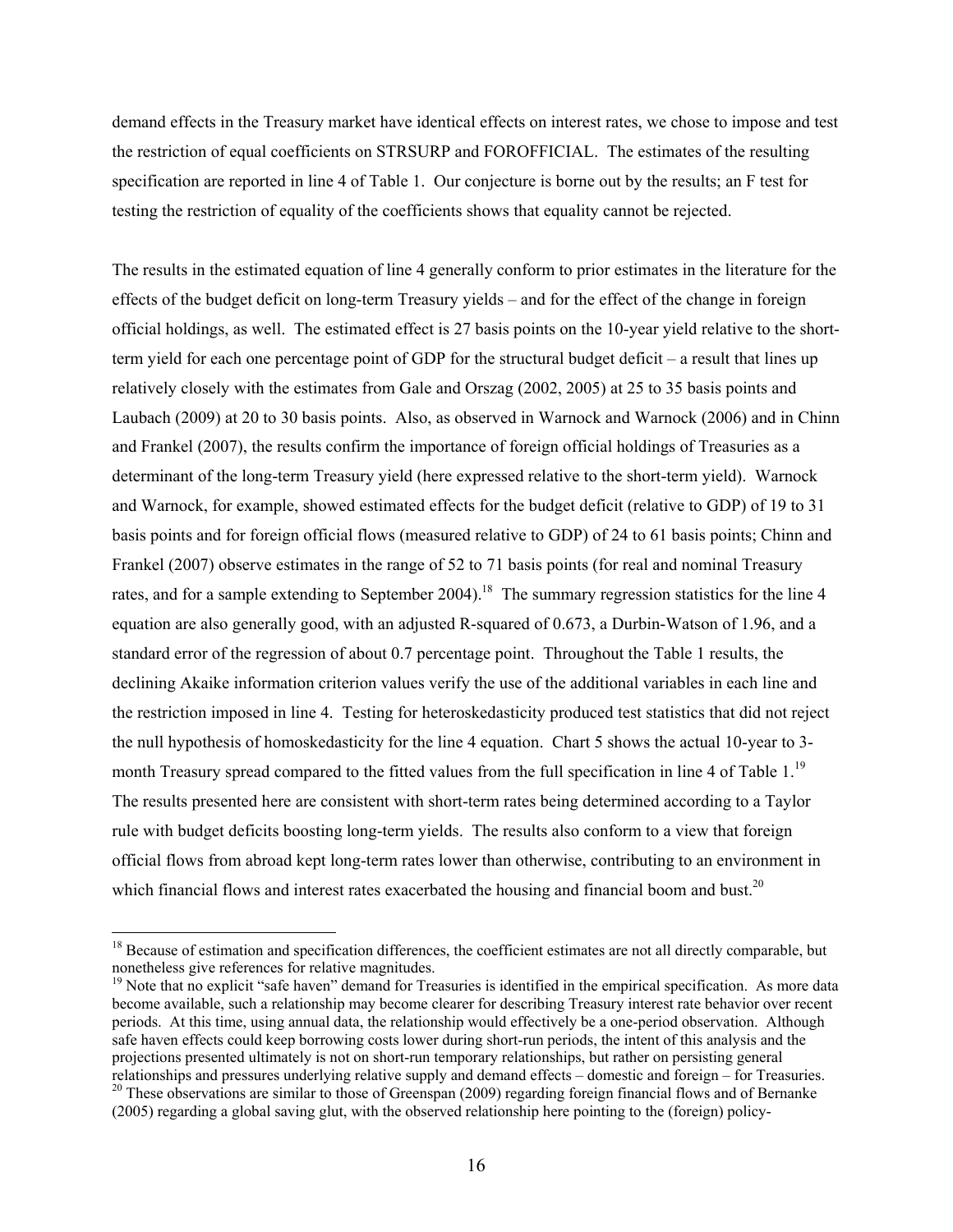demand effects in the Treasury market have identical effects on interest rates, we chose to impose and test the restriction of equal coefficients on STRSURP and FOROFFICIAL. The estimates of the resulting specification are reported in line 4 of Table 1. Our conjecture is borne out by the results; an F test for testing the restriction of equality of the coefficients shows that equality cannot be rejected.

The results in the estimated equation of line 4 generally conform to prior estimates in the literature for the effects of the budget deficit on long-term Treasury yields – and for the effect of the change in foreign official holdings, as well. The estimated effect is 27 basis points on the 10-year yield relative to the shortterm yield for each one percentage point of GDP for the structural budget deficit – a result that lines up relatively closely with the estimates from Gale and Orszag (2002, 2005) at 25 to 35 basis points and Laubach (2009) at 20 to 30 basis points. Also, as observed in Warnock and Warnock (2006) and in Chinn and Frankel (2007), the results confirm the importance of foreign official holdings of Treasuries as a determinant of the long-term Treasury yield (here expressed relative to the short-term yield). Warnock and Warnock, for example, showed estimated effects for the budget deficit (relative to GDP) of 19 to 31 basis points and for foreign official flows (measured relative to GDP) of 24 to 61 basis points; Chinn and Frankel (2007) observe estimates in the range of 52 to 71 basis points (for real and nominal Treasury rates, and for a sample extending to September 2004).<sup>18</sup> The summary regression statistics for the line 4 equation are also generally good, with an adjusted R-squared of 0.673, a Durbin-Watson of 1.96, and a standard error of the regression of about 0.7 percentage point. Throughout the Table 1 results, the declining Akaike information criterion values verify the use of the additional variables in each line and the restriction imposed in line 4. Testing for heteroskedasticity produced test statistics that did not reject the null hypothesis of homoskedasticity for the line 4 equation. Chart 5 shows the actual 10-year to 3 month Treasury spread compared to the fitted values from the full specification in line 4 of Table 1.<sup>19</sup> The results presented here are consistent with short-term rates being determined according to a Taylor rule with budget deficits boosting long-term yields. The results also conform to a view that foreign official flows from abroad kept long-term rates lower than otherwise, contributing to an environment in which financial flows and interest rates exacerbated the housing and financial boom and bust.<sup>20</sup>

<sup>&</sup>lt;sup>18</sup> Because of estimation and specification differences, the coefficient estimates are not all directly comparable, but nonetheless give references for relative magnitudes.

<sup>&</sup>lt;sup>19</sup> Note that no explicit "safe haven" demand for Treasuries is identified in the empirical specification. As more data become available, such a relationship may become clearer for describing Treasury interest rate behavior over recent periods. At this time, using annual data, the relationship would effectively be a one-period observation. Although safe haven effects could keep borrowing costs lower during short-run periods, the intent of this analysis and the projections presented ultimately is not on short-run temporary relationships, but rather on persisting general relationships and pressures underlying relative supply and demand effects – domestic and foreign – for Treasuries. <sup>20</sup> These observations are similar to those of Greenspan (2009) regarding foreign financial flows and of Bernanke

<sup>(2005)</sup> regarding a global saving glut, with the observed relationship here pointing to the (foreign) policy-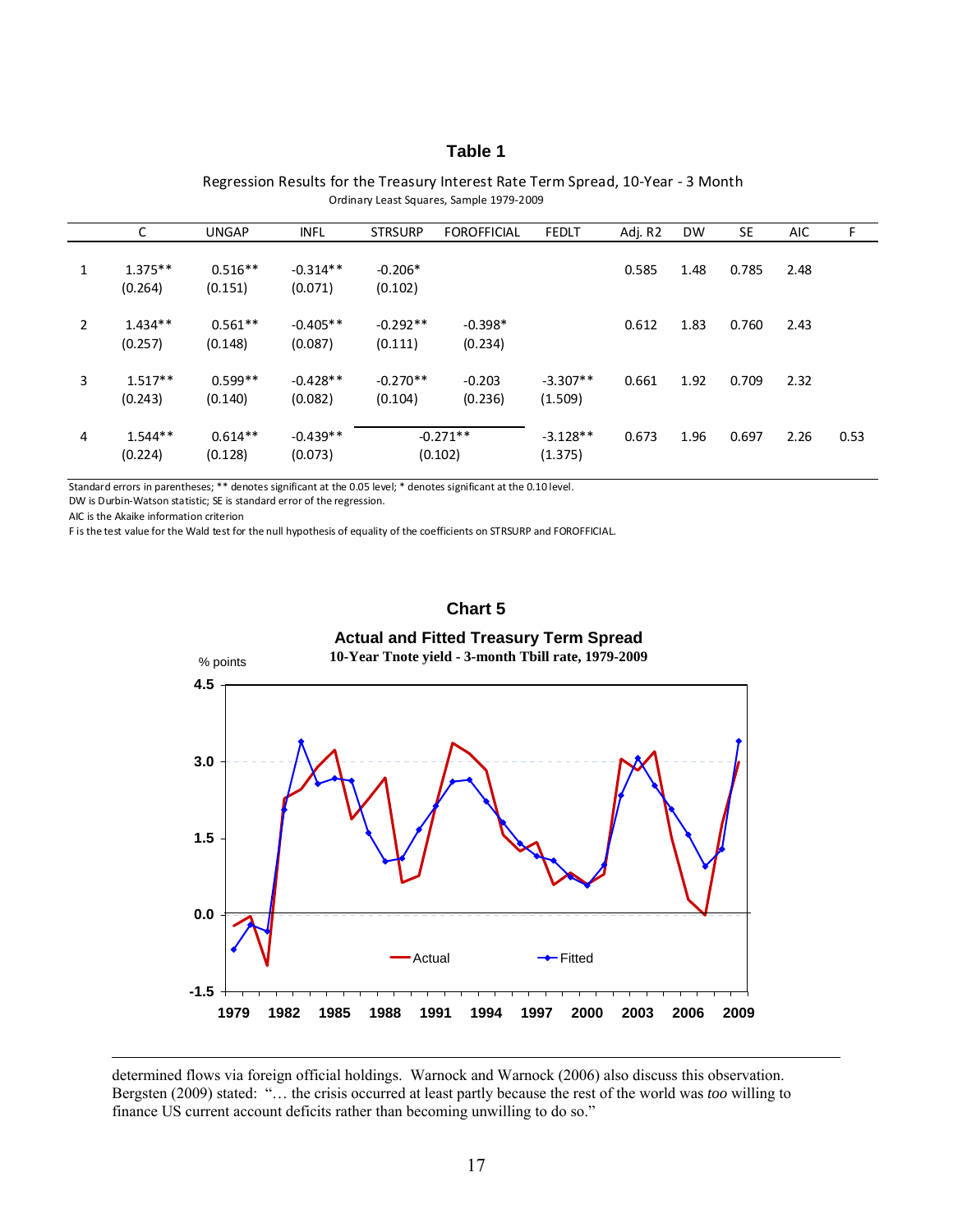### **Table 1**

Ordinary Least Squares, Sample 1979‐2009 Regression Results for the Treasury Interest Rate Term Spread, 10‐Year ‐ 3 Month

|                | C                    | <b>UNGAP</b>         | <b>INFL</b>           | <b>STRSURP</b>        | <b>FOROFFICIAL</b>    | <b>FEDLT</b>          | Adj. R2 | <b>DW</b> | <b>SE</b> | <b>AIC</b> | F.   |
|----------------|----------------------|----------------------|-----------------------|-----------------------|-----------------------|-----------------------|---------|-----------|-----------|------------|------|
| 1              | $1.375**$<br>(0.264) | $0.516**$<br>(0.151) | $-0.314**$<br>(0.071) | $-0.206*$<br>(0.102)  |                       |                       | 0.585   | 1.48      | 0.785     | 2.48       |      |
| $\overline{2}$ | $1.434**$<br>(0.257) | $0.561**$<br>(0.148) | $-0.405**$<br>(0.087) | $-0.292**$<br>(0.111) | $-0.398*$<br>(0.234)  |                       | 0.612   | 1.83      | 0.760     | 2.43       |      |
| 3              | $1.517**$<br>(0.243) | $0.599**$<br>(0.140) | $-0.428**$<br>(0.082) | $-0.270**$<br>(0.104) | $-0.203$<br>(0.236)   | $-3.307**$<br>(1.509) | 0.661   | 1.92      | 0.709     | 2.32       |      |
| 4              | $1.544**$<br>(0.224) | $0.614**$<br>(0.128) | $-0.439**$<br>(0.073) |                       | $-0.271**$<br>(0.102) | $-3.128**$<br>(1.375) | 0.673   | 1.96      | 0.697     | 2.26       | 0.53 |

Standard errors in parentheses; \*\* denotes significant at the 0.05 level; \* denotes significant at the 0.10 level.

DW is Durbin‐Watson statistic; SE is standard error of the regression.

AIC is the Akaike information criterion

F is the test value for the Wald test for the null hypothesis of equality of the coefficients on STRSURP and FOROFFICIAL.







 determined flows via foreign official holdings. Warnock and Warnock (2006) also discuss this observation. Bergsten (2009) stated: "… the crisis occurred at least partly because the rest of the world was *too* willing to finance US current account deficits rather than becoming unwilling to do so."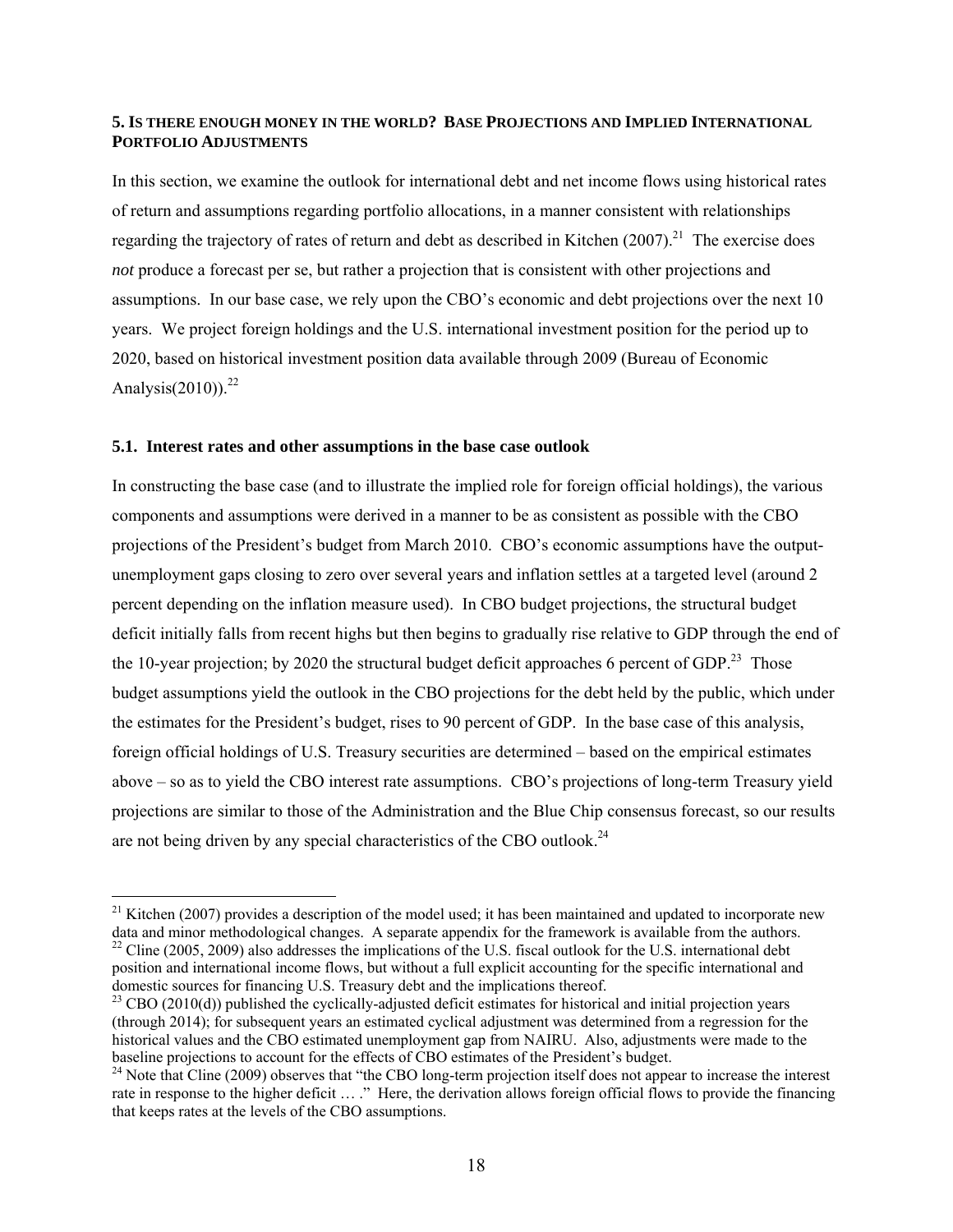#### **5. IS THERE ENOUGH MONEY IN THE WORLD? BASE PROJECTIONS AND IMPLIED INTERNATIONAL PORTFOLIO ADJUSTMENTS**

In this section, we examine the outlook for international debt and net income flows using historical rates of return and assumptions regarding portfolio allocations, in a manner consistent with relationships regarding the trajectory of rates of return and debt as described in Kitchen  $(2007)$ <sup>21</sup>. The exercise does *not* produce a forecast per se, but rather a projection that is consistent with other projections and assumptions. In our base case, we rely upon the CBO's economic and debt projections over the next 10 years. We project foreign holdings and the U.S. international investment position for the period up to 2020, based on historical investment position data available through 2009 (Bureau of Economic Analysis $(2010)$ <sup>22</sup>

#### **5.1. Interest rates and other assumptions in the base case outlook**

 $\overline{a}$ 

In constructing the base case (and to illustrate the implied role for foreign official holdings), the various components and assumptions were derived in a manner to be as consistent as possible with the CBO projections of the President's budget from March 2010. CBO's economic assumptions have the outputunemployment gaps closing to zero over several years and inflation settles at a targeted level (around 2 percent depending on the inflation measure used). In CBO budget projections, the structural budget deficit initially falls from recent highs but then begins to gradually rise relative to GDP through the end of the 10-year projection; by 2020 the structural budget deficit approaches 6 percent of GDP.<sup>23</sup> Those budget assumptions yield the outlook in the CBO projections for the debt held by the public, which under the estimates for the President's budget, rises to 90 percent of GDP. In the base case of this analysis, foreign official holdings of U.S. Treasury securities are determined – based on the empirical estimates above – so as to yield the CBO interest rate assumptions. CBO's projections of long-term Treasury yield projections are similar to those of the Administration and the Blue Chip consensus forecast, so our results are not being driven by any special characteristics of the CBO outlook.<sup>24</sup>

<sup>&</sup>lt;sup>21</sup> Kitchen (2007) provides a description of the model used; it has been maintained and updated to incorporate new data and minor methodological changes. A separate appendix for the framework is available from the authors. <sup>22</sup> Cline (2005, 2009) also addresses the implications of the U.S. fiscal outlook for the U.S. international debt position and international income flows, but without a full explicit accounting for the specific international and domestic sources for financing U.S. Treasury debt and the implications thereof.

 $^{23}$  CBO (2010(d)) published the cyclically-adjusted deficit estimates for historical and initial projection years (through 2014); for subsequent years an estimated cyclical adjustment was determined from a regression for the historical values and the CBO estimated unemployment gap from NAIRU. Also, adjustments were made to the baseline projections to account for the effects of CBO estimates of the President's budget.

<sup>&</sup>lt;sup>24</sup> Note that Cline (2009) observes that "the CBO long-term projection itself does not appear to increase the interest rate in response to the higher deficit … ." Here, the derivation allows foreign official flows to provide the financing that keeps rates at the levels of the CBO assumptions.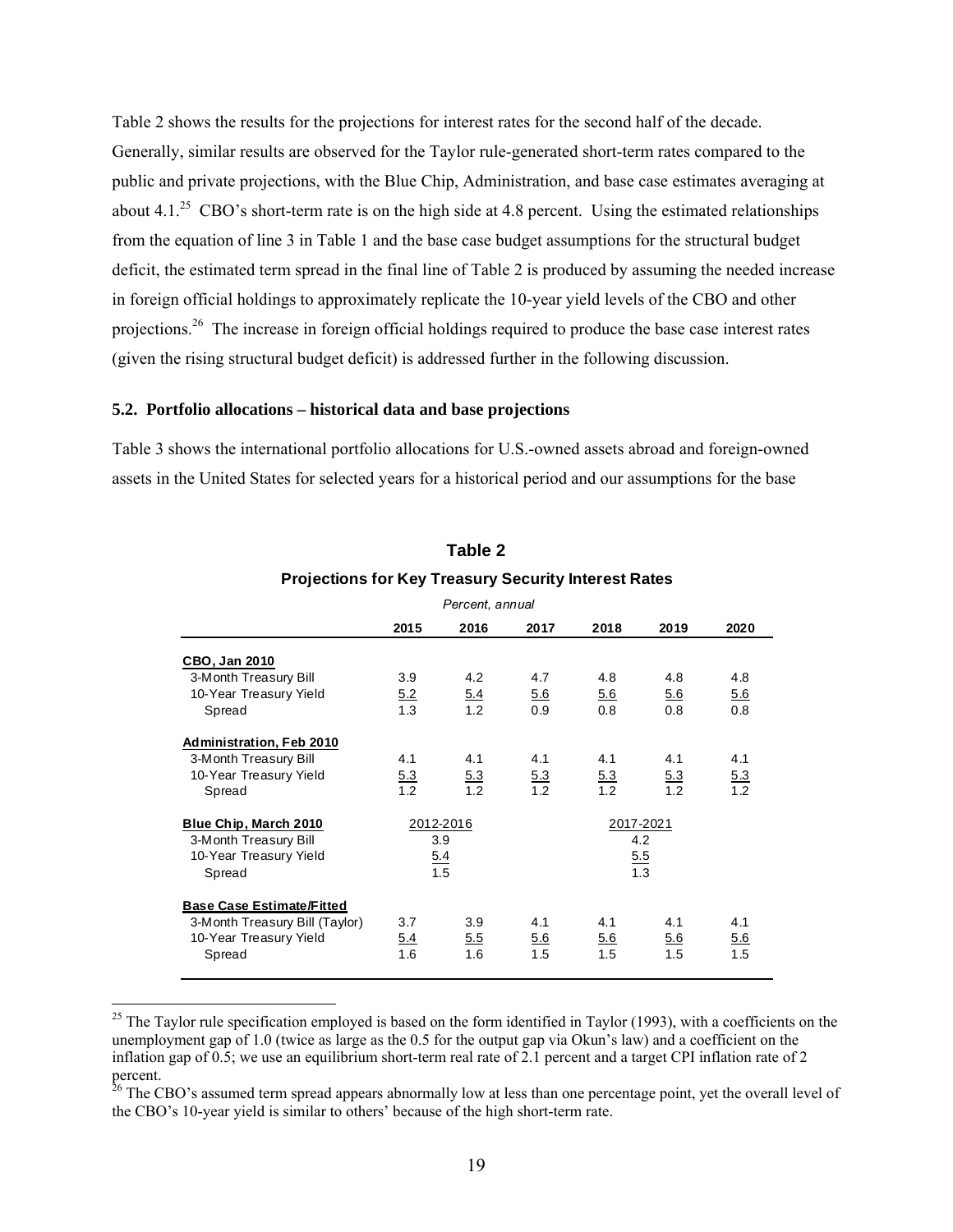Table 2 shows the results for the projections for interest rates for the second half of the decade. Generally, similar results are observed for the Taylor rule-generated short-term rates compared to the public and private projections, with the Blue Chip, Administration, and base case estimates averaging at about 4.1.<sup>25</sup> CBO's short-term rate is on the high side at 4.8 percent. Using the estimated relationships from the equation of line 3 in Table 1 and the base case budget assumptions for the structural budget deficit, the estimated term spread in the final line of Table 2 is produced by assuming the needed increase in foreign official holdings to approximately replicate the 10-year yield levels of the CBO and other projections.<sup>26</sup> The increase in foreign official holdings required to produce the base case interest rates (given the rising structural budget deficit) is addressed further in the following discussion.

#### **5.2. Portfolio allocations – historical data and base projections**

 $\overline{a}$ 

Table 3 shows the international portfolio allocations for U.S.-owned assets abroad and foreign-owned assets in the United States for selected years for a historical period and our assumptions for the base

|                                  |                  | Percent, annual |                   |            |                  |                   |
|----------------------------------|------------------|-----------------|-------------------|------------|------------------|-------------------|
|                                  | 2015             | 2016            | 2017              | 2018       | 2019             | 2020              |
| CBO, Jan 2010                    |                  |                 |                   |            |                  |                   |
| 3-Month Treasury Bill            | 3.9              | 4.2             | 4.7               | 4.8        | 4.8              | 4.8               |
| 10-Year Treasury Yield           | 5.2              | 5.4             | 5.6               | 5.6        | 5.6              | 5.6               |
| Spread                           | 1.3              | 1.2             | 0.9               | 0.8        | 0.8              | 0.8               |
| Administration, Feb 2010         |                  |                 |                   |            |                  |                   |
| 3-Month Treasury Bill            | 4.1              | 4.1             | 4.1               | 4.1        | 4.1              | 4.1               |
| 10-Year Treasury Yield           | 5.3              | 5.3             | $\frac{5.3}{1.2}$ | 5.3        | 5.3              | $\frac{5.3}{1.2}$ |
| Spread                           | $\overline{1.2}$ | 1.2             |                   | 1.2        | $\overline{1.2}$ |                   |
| Blue Chip, March 2010            |                  | 2012-2016       |                   |            | 2017-2021        |                   |
| 3-Month Treasury Bill            |                  | 3.9             |                   |            | 4.2              |                   |
| 10-Year Treasury Yield           |                  | 5.4             |                   |            | 5.5              |                   |
| Spread                           |                  | 1.5             |                   |            | 1.3              |                   |
| <b>Base Case Estimate/Fitted</b> |                  |                 |                   |            |                  |                   |
| 3-Month Treasury Bill (Taylor)   | 3.7              | 3.9             | 4.1               | 4.1        | 4.1              | 4.1               |
| 10-Year Treasury Yield           | 5.4              | 5.5             | 5.6               | <u>5.6</u> | 5.6              | 5.6               |
| Spread                           | 1.6              | 1.6             | 1.5               | 1.5        | 1.5              | 1.5               |

## **Projections for Key Treasury Security Interest Rates Table 2**

 $25$  The Taylor rule specification employed is based on the form identified in Taylor (1993), with a coefficients on the unemployment gap of 1.0 (twice as large as the 0.5 for the output gap via Okun's law) and a coefficient on the inflation gap of 0.5; we use an equilibrium short-term real rate of 2.1 percent and a target CPI inflation rate of 2 percent.

<sup>&</sup>lt;sup>26</sup> The CBO's assumed term spread appears abnormally low at less than one percentage point, yet the overall level of the CBO's 10-year yield is similar to others' because of the high short-term rate.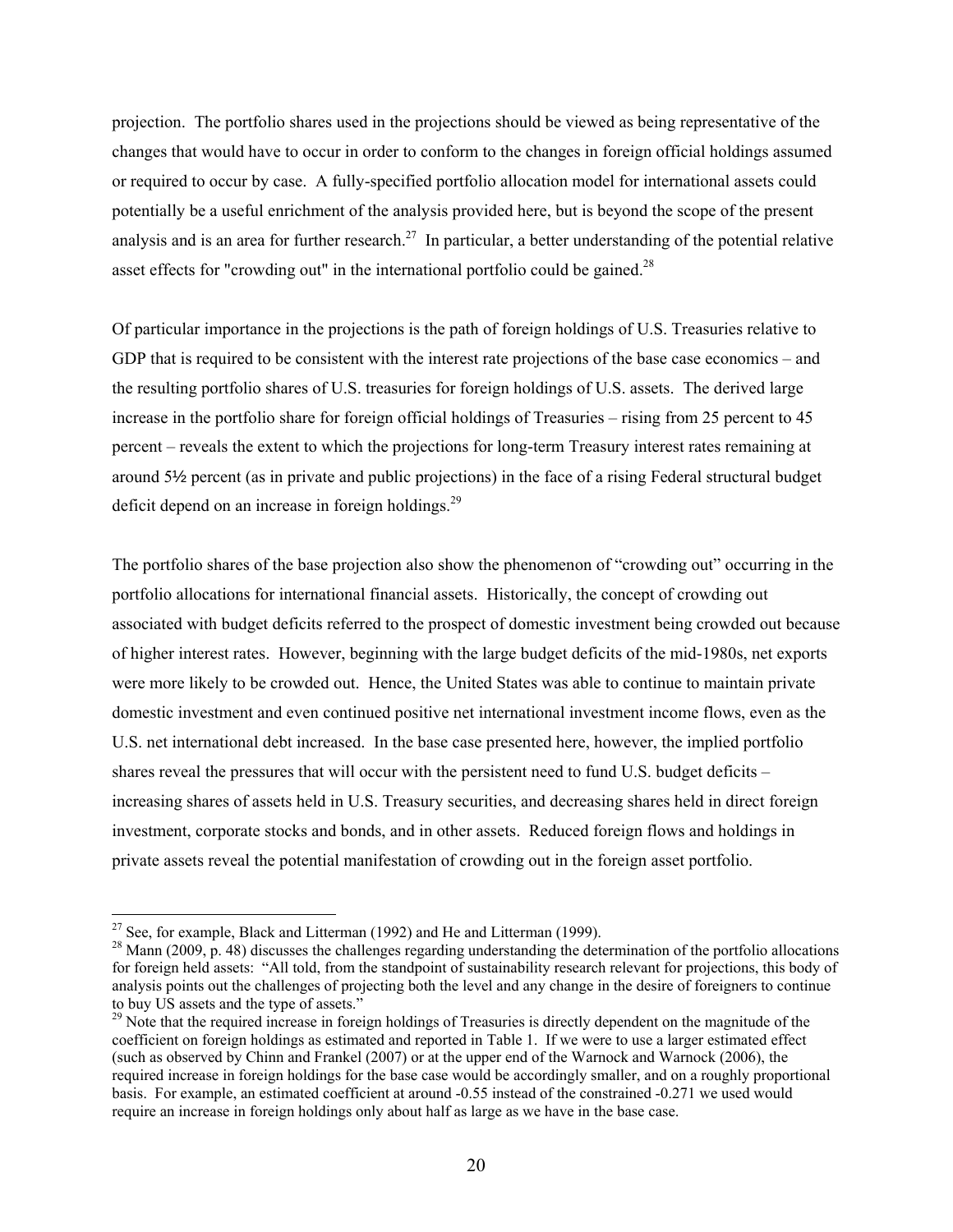projection. The portfolio shares used in the projections should be viewed as being representative of the changes that would have to occur in order to conform to the changes in foreign official holdings assumed or required to occur by case. A fully-specified portfolio allocation model for international assets could potentially be a useful enrichment of the analysis provided here, but is beyond the scope of the present analysis and is an area for further research.<sup>27</sup> In particular, a better understanding of the potential relative asset effects for "crowding out" in the international portfolio could be gained.<sup>28</sup>

Of particular importance in the projections is the path of foreign holdings of U.S. Treasuries relative to GDP that is required to be consistent with the interest rate projections of the base case economics – and the resulting portfolio shares of U.S. treasuries for foreign holdings of U.S. assets. The derived large increase in the portfolio share for foreign official holdings of Treasuries – rising from 25 percent to 45 percent – reveals the extent to which the projections for long-term Treasury interest rates remaining at around 5½ percent (as in private and public projections) in the face of a rising Federal structural budget deficit depend on an increase in foreign holdings.<sup>29</sup>

The portfolio shares of the base projection also show the phenomenon of "crowding out" occurring in the portfolio allocations for international financial assets. Historically, the concept of crowding out associated with budget deficits referred to the prospect of domestic investment being crowded out because of higher interest rates. However, beginning with the large budget deficits of the mid-1980s, net exports were more likely to be crowded out. Hence, the United States was able to continue to maintain private domestic investment and even continued positive net international investment income flows, even as the U.S. net international debt increased. In the base case presented here, however, the implied portfolio shares reveal the pressures that will occur with the persistent need to fund U.S. budget deficits – increasing shares of assets held in U.S. Treasury securities, and decreasing shares held in direct foreign investment, corporate stocks and bonds, and in other assets. Reduced foreign flows and holdings in private assets reveal the potential manifestation of crowding out in the foreign asset portfolio.

<sup>&</sup>lt;sup>27</sup> See, for example, Black and Litterman (1992) and He and Litterman (1999).<br><sup>28</sup> Mann (2009, p. 48) discusses the challenges regarding understanding the determination of the portfolio allocations for foreign held assets: "All told, from the standpoint of sustainability research relevant for projections, this body of analysis points out the challenges of projecting both the level and any change in the desire of foreigners to continue to buy US assets and the type of assets."

<sup>&</sup>lt;sup>29</sup> Note that the required increase in foreign holdings of Treasuries is directly dependent on the magnitude of the coefficient on foreign holdings as estimated and reported in Table 1. If we were to use a larger estimated effect (such as observed by Chinn and Frankel (2007) or at the upper end of the Warnock and Warnock (2006), the required increase in foreign holdings for the base case would be accordingly smaller, and on a roughly proportional basis. For example, an estimated coefficient at around -0.55 instead of the constrained -0.271 we used would require an increase in foreign holdings only about half as large as we have in the base case.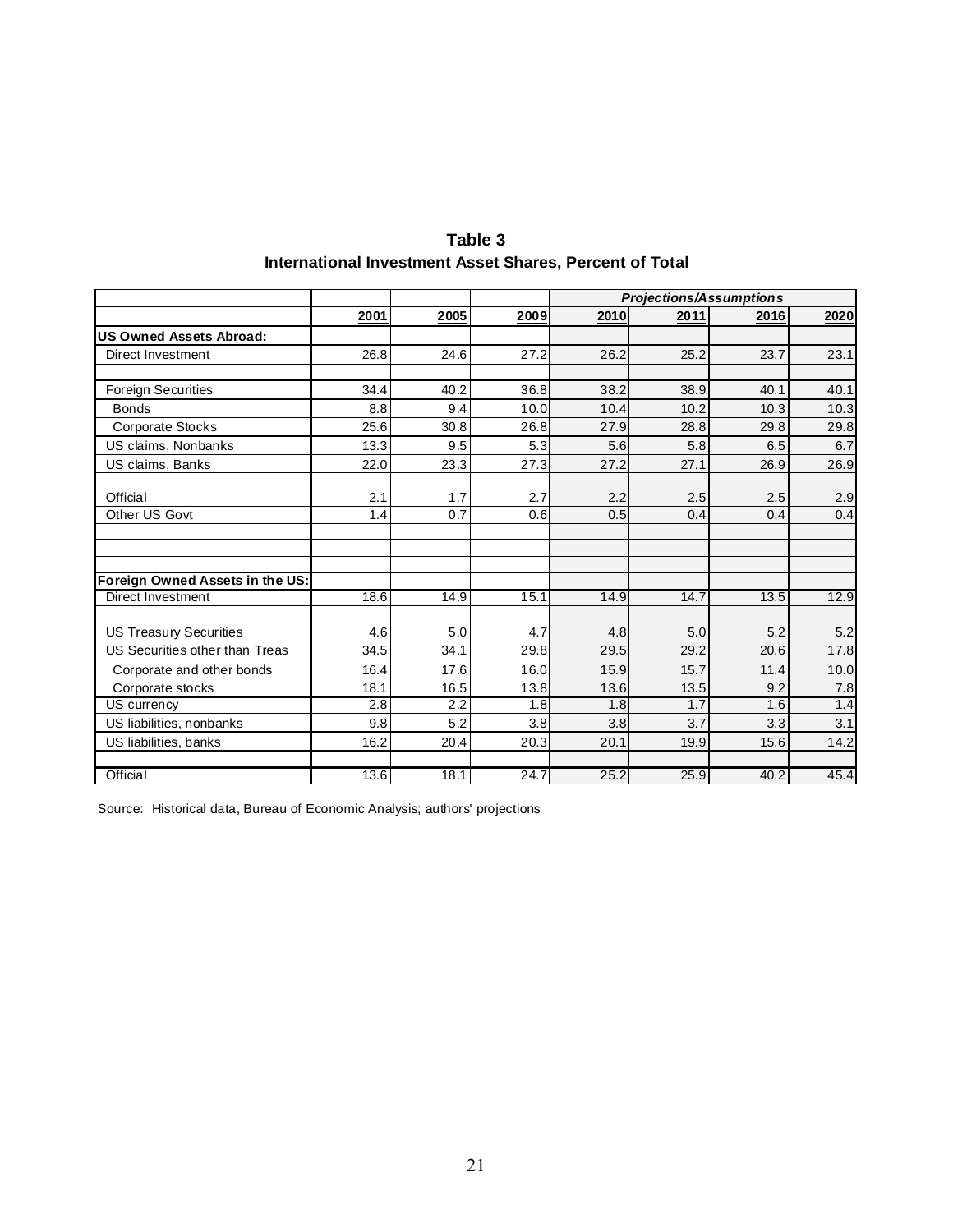| Table 3                                                 |
|---------------------------------------------------------|
| International Investment Asset Shares, Percent of Total |

|                                 |      |                  |      | <b>Projections/Assumptions</b> |      |      |      |
|---------------------------------|------|------------------|------|--------------------------------|------|------|------|
|                                 | 2001 | 2005             | 2009 | 2010                           | 2011 | 2016 | 2020 |
| <b>US Owned Assets Abroad:</b>  |      |                  |      |                                |      |      |      |
| Direct Investment               | 26.8 | 24.6             | 27.2 | 26.2                           | 25.2 | 23.7 | 23.1 |
| <b>Foreign Securities</b>       | 34.4 | 40.2             | 36.8 | 38.2                           | 38.9 | 40.1 | 40.1 |
| <b>Bonds</b>                    | 8.8  | 9.4              | 10.0 | 10.4                           | 10.2 | 10.3 | 10.3 |
| <b>Corporate Stocks</b>         | 25.6 | 30.8             | 26.8 | 27.9                           | 28.8 | 29.8 | 29.8 |
| US claims, Nonbanks             | 13.3 | 9.5              | 5.3  | 5.6                            | 5.8  | 6.5  | 6.7  |
| US claims, Banks                | 22.0 | 23.3             | 27.3 | 27.2                           | 27.1 | 26.9 | 26.9 |
| Official                        | 2.1  | 1.7              | 2.7  | 2.2                            | 2.5  | 2.5  | 2.9  |
| Other US Govt                   | 1.4  | 0.7              | 0.6  | 0.5                            | 0.4  | 0.4  | 0.4  |
|                                 |      |                  |      |                                |      |      |      |
| Foreign Owned Assets in the US: |      |                  |      |                                |      |      |      |
| Direct Investment               | 18.6 | 14.9             | 15.1 | 14.9                           | 14.7 | 13.5 | 12.9 |
| <b>US Treasury Securities</b>   | 4.6  | 5.0              | 4.7  | 4.8                            | 5.0  | 5.2  | 5.2  |
| US Securities other than Treas  | 34.5 | 34.1             | 29.8 | 29.5                           | 29.2 | 20.6 | 17.8 |
| Corporate and other bonds       | 16.4 | 17.6             | 16.0 | 15.9                           | 15.7 | 11.4 | 10.0 |
| Corporate stocks                | 18.1 | 16.5             | 13.8 | 13.6                           | 13.5 | 9.2  | 7.8  |
| US currency                     | 2.8  | $\overline{2.2}$ | 1.8  | 1.8                            | 1.7  | 1.6  | 1.4  |
| US liabilities, nonbanks        | 9.8  | 5.2              | 3.8  | 3.8                            | 3.7  | 3.3  | 3.1  |
| US liabilities, banks           | 16.2 | 20.4             | 20.3 | 20.1                           | 19.9 | 15.6 | 14.2 |
| Official                        | 13.6 | 18.1             | 24.7 | 25.2                           | 25.9 | 40.2 | 45.4 |

Source: Historical data, Bureau of Economic Analysis; authors' projections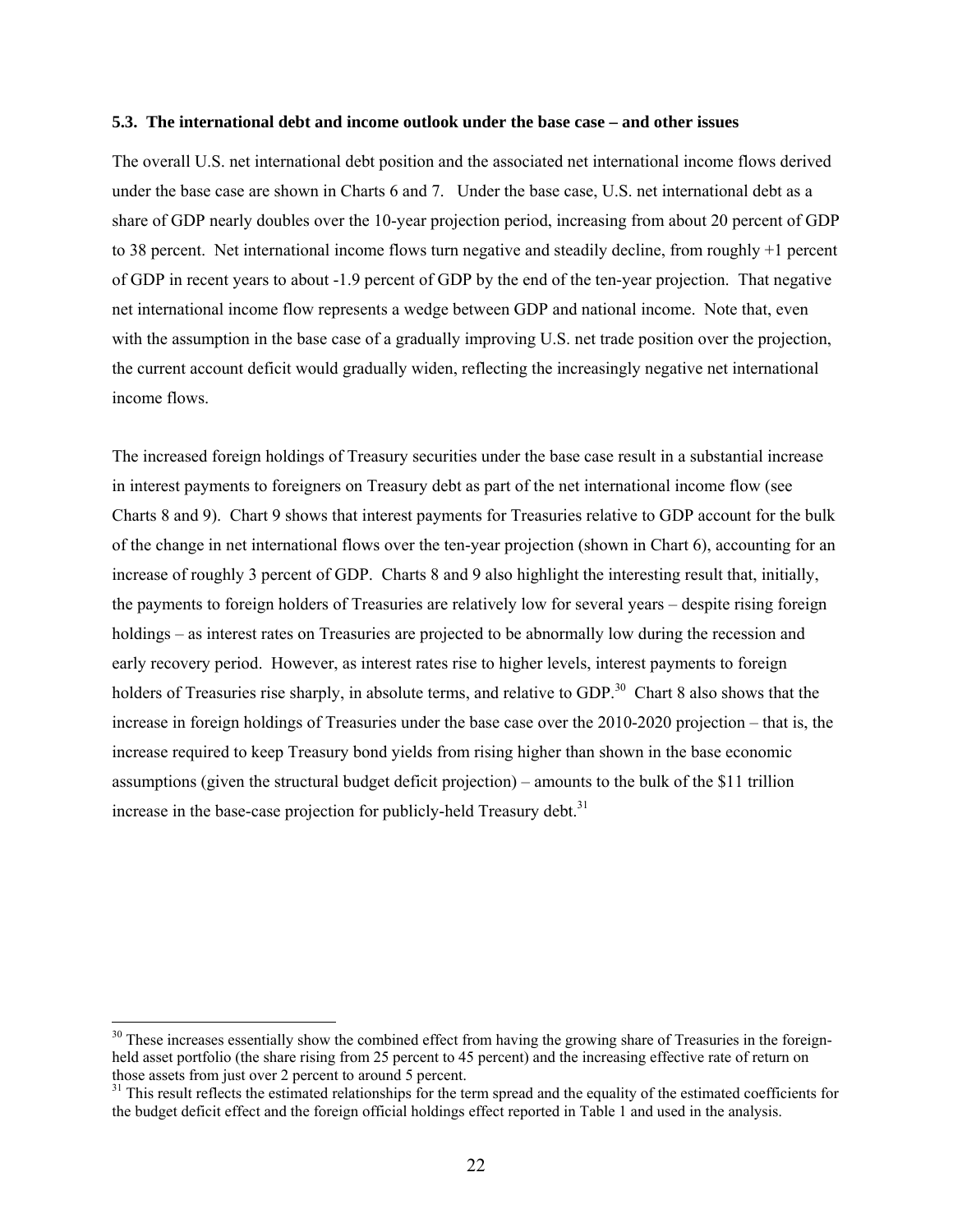#### **5.3. The international debt and income outlook under the base case – and other issues**

The overall U.S. net international debt position and the associated net international income flows derived under the base case are shown in Charts 6 and 7. Under the base case, U.S. net international debt as a share of GDP nearly doubles over the 10-year projection period, increasing from about 20 percent of GDP to 38 percent. Net international income flows turn negative and steadily decline, from roughly +1 percent of GDP in recent years to about -1.9 percent of GDP by the end of the ten-year projection. That negative net international income flow represents a wedge between GDP and national income. Note that, even with the assumption in the base case of a gradually improving U.S. net trade position over the projection, the current account deficit would gradually widen, reflecting the increasingly negative net international income flows.

The increased foreign holdings of Treasury securities under the base case result in a substantial increase in interest payments to foreigners on Treasury debt as part of the net international income flow (see Charts 8 and 9). Chart 9 shows that interest payments for Treasuries relative to GDP account for the bulk of the change in net international flows over the ten-year projection (shown in Chart 6), accounting for an increase of roughly 3 percent of GDP. Charts 8 and 9 also highlight the interesting result that, initially, the payments to foreign holders of Treasuries are relatively low for several years – despite rising foreign holdings – as interest rates on Treasuries are projected to be abnormally low during the recession and early recovery period. However, as interest rates rise to higher levels, interest payments to foreign holders of Treasuries rise sharply, in absolute terms, and relative to GDP.<sup>30</sup> Chart 8 also shows that the increase in foreign holdings of Treasuries under the base case over the 2010-2020 projection – that is, the increase required to keep Treasury bond yields from rising higher than shown in the base economic assumptions (given the structural budget deficit projection) – amounts to the bulk of the \$11 trillion increase in the base-case projection for publicly-held Treasury debt.<sup>31</sup>

<sup>&</sup>lt;sup>30</sup> These increases essentially show the combined effect from having the growing share of Treasuries in the foreignheld asset portfolio (the share rising from 25 percent to 45 percent) and the increasing effective rate of return on those assets from just over 2 percent to around 5 percent.

<sup>&</sup>lt;sup>31</sup> This result reflects the estimated relationships for the term spread and the equality of the estimated coefficients for the budget deficit effect and the foreign official holdings effect reported in Table 1 and used in the analysis.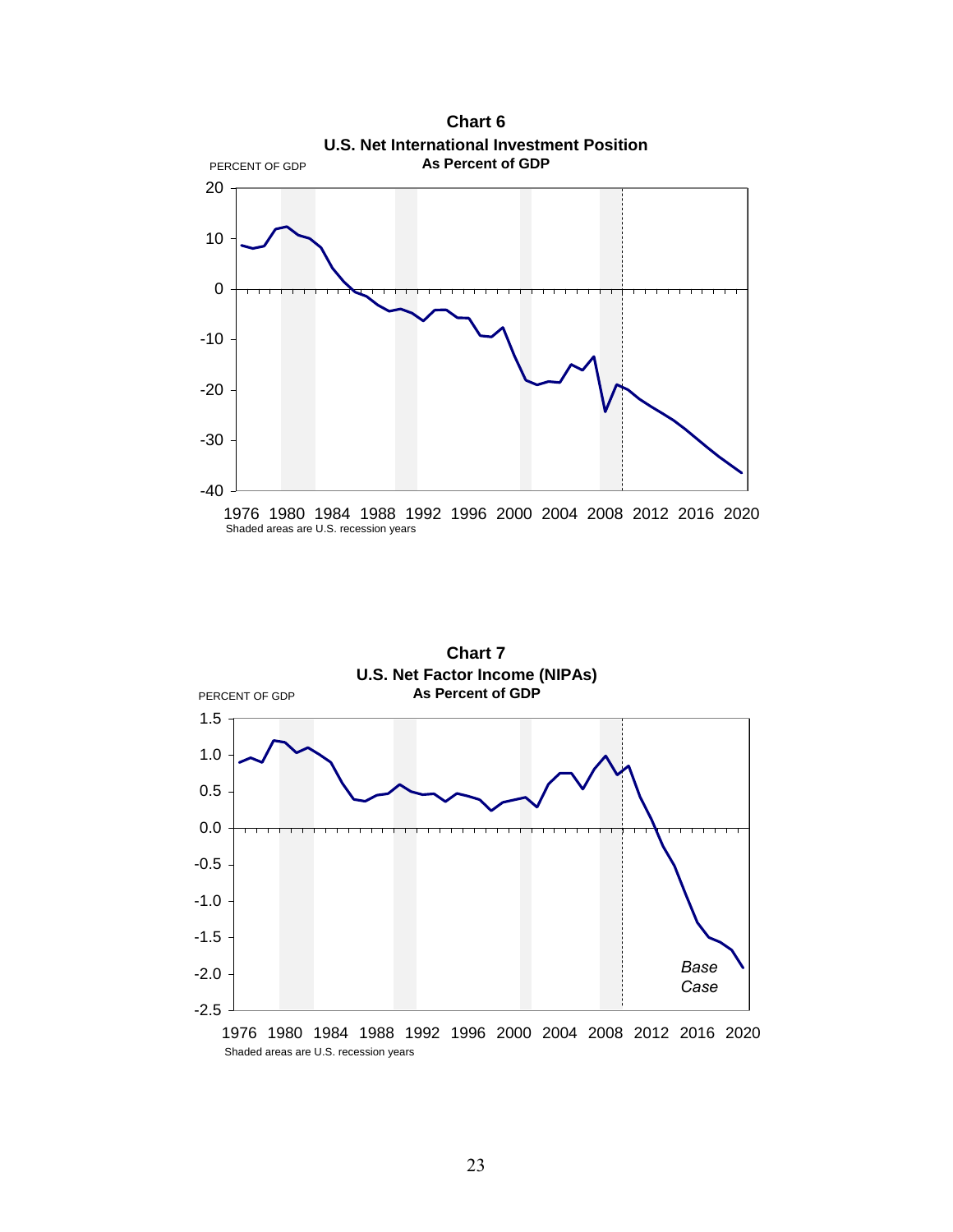

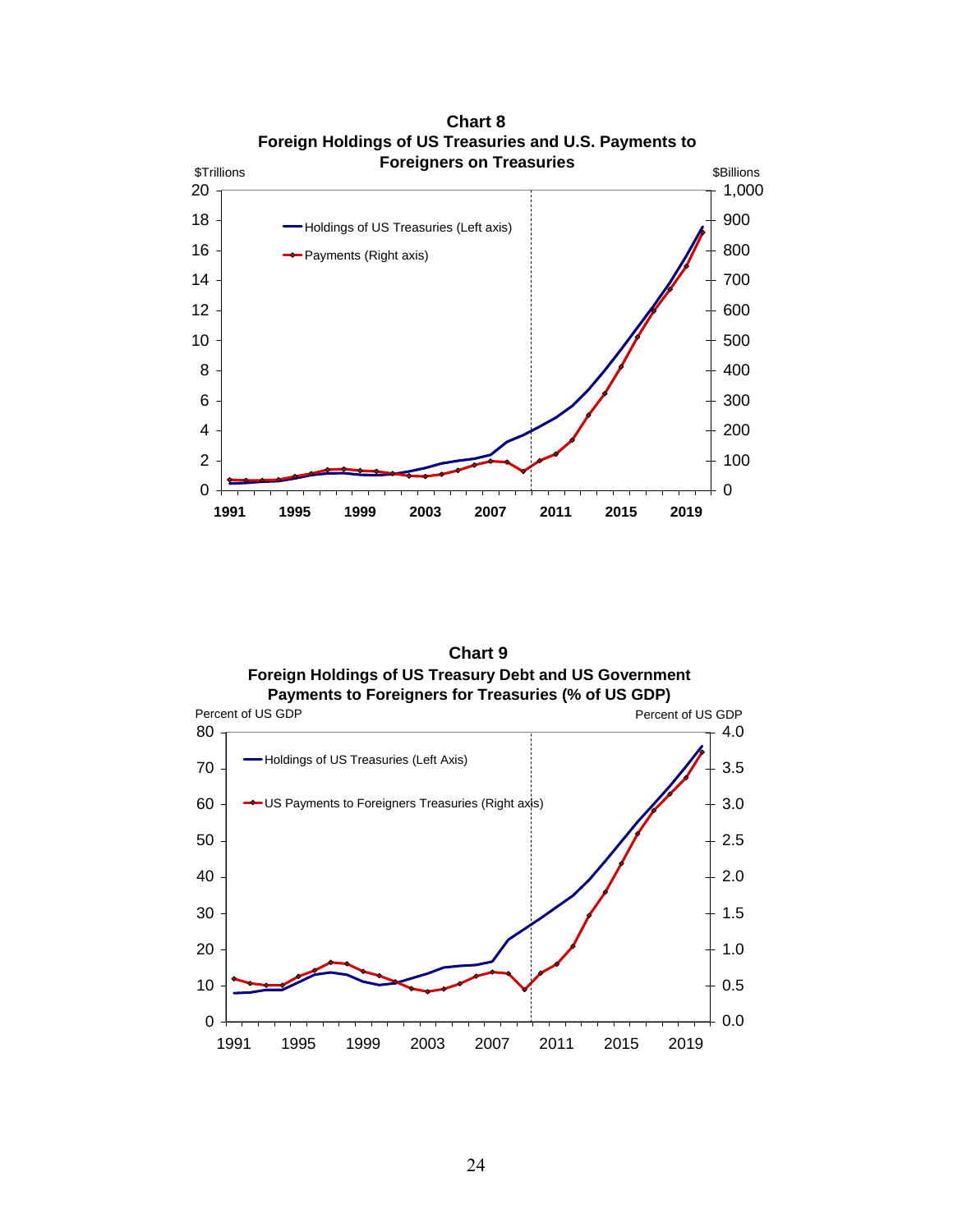

**Foreign Holdings of US Treasuries and U.S. Payments to Chart 8**

**Foreign Holdings of US Treasury Debt and US Government Payments to Foreigners for Treasuries (% of US GDP) Chart 9**

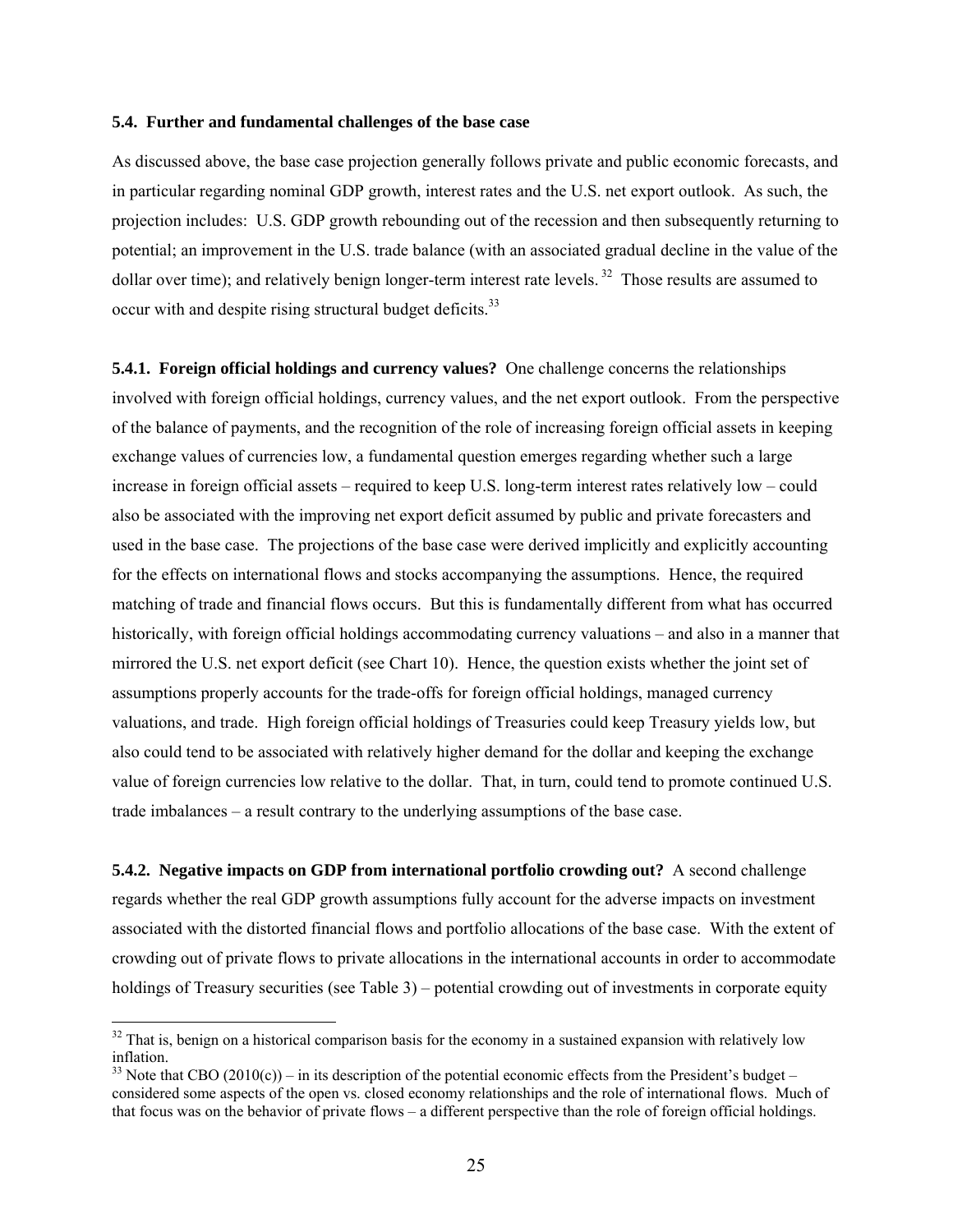#### **5.4. Further and fundamental challenges of the base case**

As discussed above, the base case projection generally follows private and public economic forecasts, and in particular regarding nominal GDP growth, interest rates and the U.S. net export outlook. As such, the projection includes: U.S. GDP growth rebounding out of the recession and then subsequently returning to potential; an improvement in the U.S. trade balance (with an associated gradual decline in the value of the dollar over time); and relatively benign longer-term interest rate levels.<sup>32</sup> Those results are assumed to occur with and despite rising structural budget deficits.<sup>33</sup>

**5.4.1. Foreign official holdings and currency values?** One challenge concerns the relationships involved with foreign official holdings, currency values, and the net export outlook. From the perspective of the balance of payments, and the recognition of the role of increasing foreign official assets in keeping exchange values of currencies low, a fundamental question emerges regarding whether such a large increase in foreign official assets – required to keep U.S. long-term interest rates relatively low – could also be associated with the improving net export deficit assumed by public and private forecasters and used in the base case. The projections of the base case were derived implicitly and explicitly accounting for the effects on international flows and stocks accompanying the assumptions. Hence, the required matching of trade and financial flows occurs. But this is fundamentally different from what has occurred historically, with foreign official holdings accommodating currency valuations – and also in a manner that mirrored the U.S. net export deficit (see Chart 10). Hence, the question exists whether the joint set of assumptions properly accounts for the trade-offs for foreign official holdings, managed currency valuations, and trade. High foreign official holdings of Treasuries could keep Treasury yields low, but also could tend to be associated with relatively higher demand for the dollar and keeping the exchange value of foreign currencies low relative to the dollar. That, in turn, could tend to promote continued U.S. trade imbalances – a result contrary to the underlying assumptions of the base case.

**5.4.2. Negative impacts on GDP from international portfolio crowding out?** A second challenge regards whether the real GDP growth assumptions fully account for the adverse impacts on investment associated with the distorted financial flows and portfolio allocations of the base case. With the extent of crowding out of private flows to private allocations in the international accounts in order to accommodate holdings of Treasury securities (see Table 3) – potential crowding out of investments in corporate equity

 $32$  That is, benign on a historical comparison basis for the economy in a sustained expansion with relatively low inflation.

<sup>&</sup>lt;sup>33</sup> Note that CBO (2010(c)) – in its description of the potential economic effects from the President's budget – considered some aspects of the open vs. closed economy relationships and the role of international flows. Much of that focus was on the behavior of private flows – a different perspective than the role of foreign official holdings.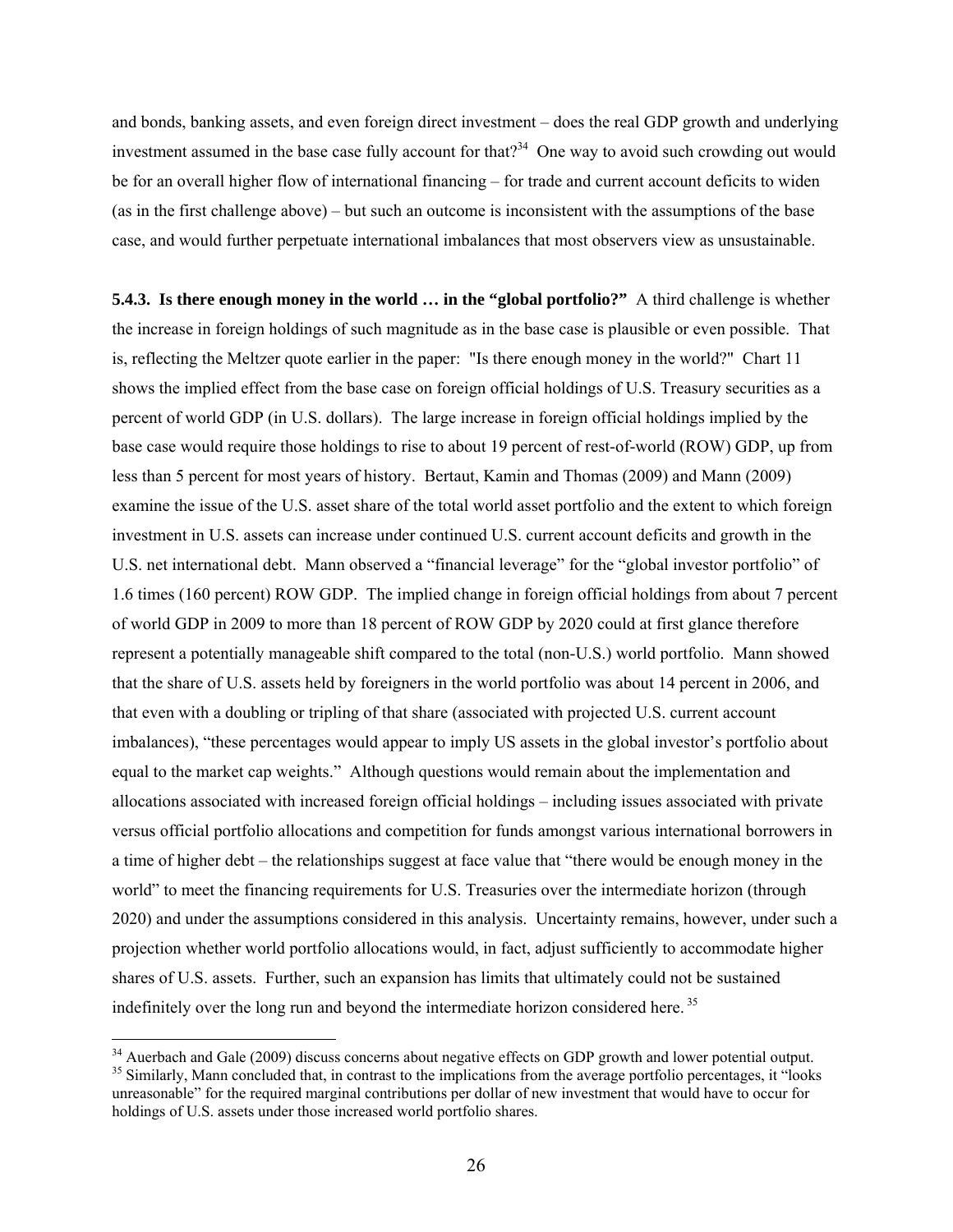and bonds, banking assets, and even foreign direct investment – does the real GDP growth and underlying investment assumed in the base case fully account for that?<sup>34</sup> One way to avoid such crowding out would be for an overall higher flow of international financing – for trade and current account deficits to widen (as in the first challenge above) – but such an outcome is inconsistent with the assumptions of the base case, and would further perpetuate international imbalances that most observers view as unsustainable.

**5.4.3. Is there enough money in the world … in the "global portfolio?"** A third challenge is whether the increase in foreign holdings of such magnitude as in the base case is plausible or even possible. That is, reflecting the Meltzer quote earlier in the paper: "Is there enough money in the world?" Chart 11 shows the implied effect from the base case on foreign official holdings of U.S. Treasury securities as a percent of world GDP (in U.S. dollars). The large increase in foreign official holdings implied by the base case would require those holdings to rise to about 19 percent of rest-of-world (ROW) GDP, up from less than 5 percent for most years of history. Bertaut, Kamin and Thomas (2009) and Mann (2009) examine the issue of the U.S. asset share of the total world asset portfolio and the extent to which foreign investment in U.S. assets can increase under continued U.S. current account deficits and growth in the U.S. net international debt. Mann observed a "financial leverage" for the "global investor portfolio" of 1.6 times (160 percent) ROW GDP. The implied change in foreign official holdings from about 7 percent of world GDP in 2009 to more than 18 percent of ROW GDP by 2020 could at first glance therefore represent a potentially manageable shift compared to the total (non-U.S.) world portfolio. Mann showed that the share of U.S. assets held by foreigners in the world portfolio was about 14 percent in 2006, and that even with a doubling or tripling of that share (associated with projected U.S. current account imbalances), "these percentages would appear to imply US assets in the global investor's portfolio about equal to the market cap weights." Although questions would remain about the implementation and allocations associated with increased foreign official holdings – including issues associated with private versus official portfolio allocations and competition for funds amongst various international borrowers in a time of higher debt – the relationships suggest at face value that "there would be enough money in the world" to meet the financing requirements for U.S. Treasuries over the intermediate horizon (through 2020) and under the assumptions considered in this analysis. Uncertainty remains, however, under such a projection whether world portfolio allocations would, in fact, adjust sufficiently to accommodate higher shares of U.S. assets. Further, such an expansion has limits that ultimately could not be sustained indefinitely over the long run and beyond the intermediate horizon considered here.<sup>35</sup>

 $34$  Auerbach and Gale (2009) discuss concerns about negative effects on GDP growth and lower potential output.

<sup>&</sup>lt;sup>35</sup> Similarly, Mann concluded that, in contrast to the implications from the average portfolio percentages, it "looks unreasonable" for the required marginal contributions per dollar of new investment that would have to occur for holdings of U.S. assets under those increased world portfolio shares.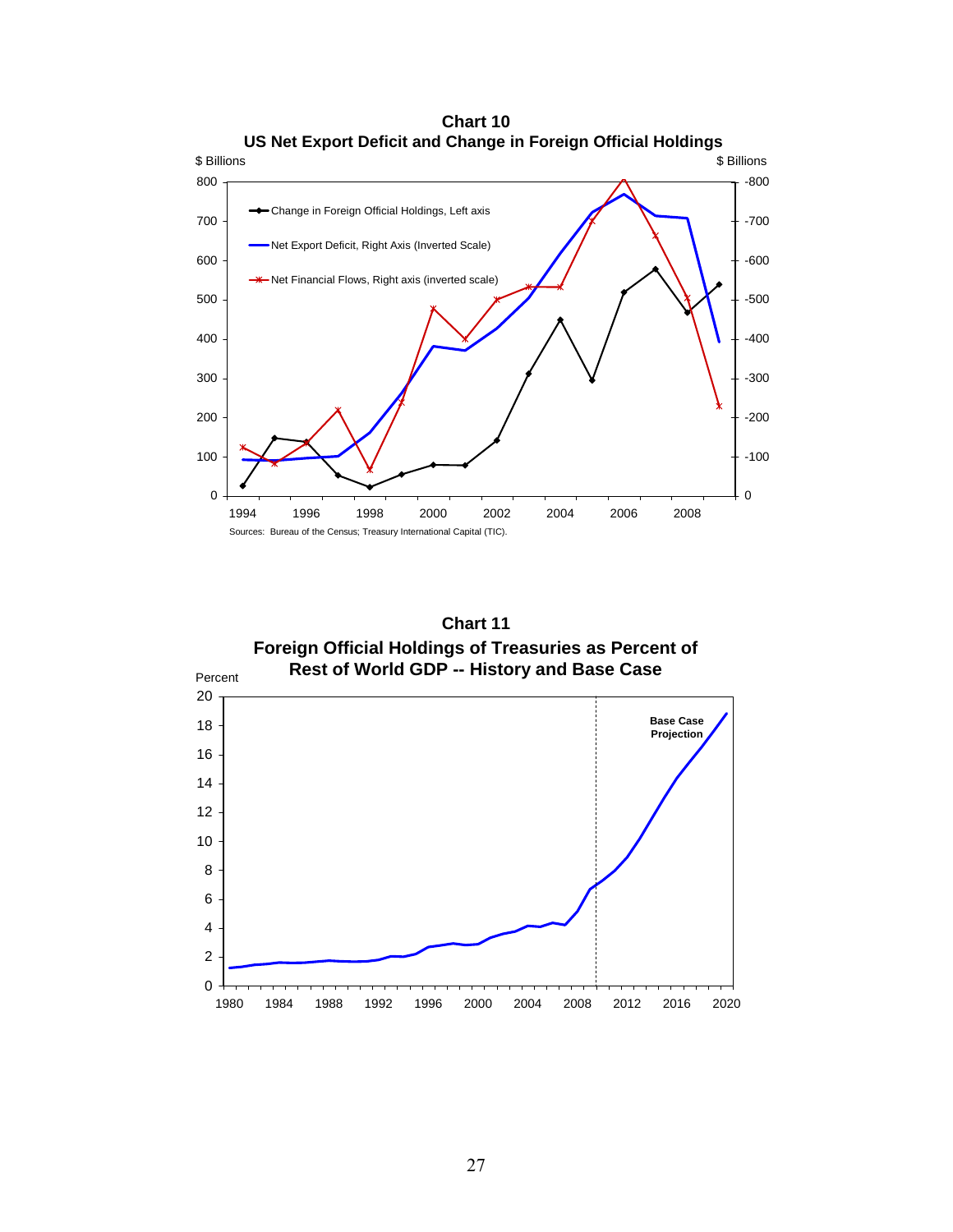





27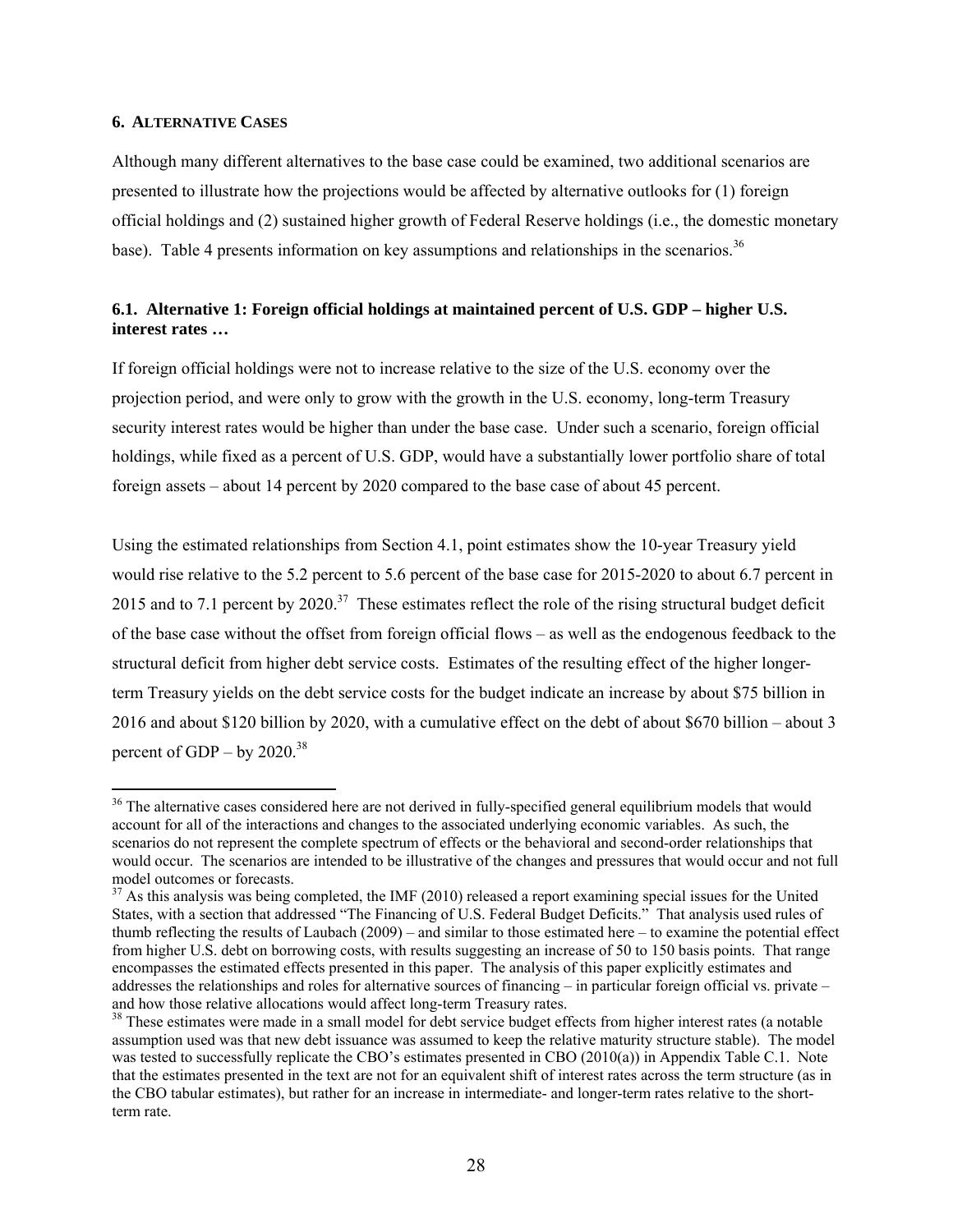#### **6. ALTERNATIVE CASES**

 $\overline{a}$ 

Although many different alternatives to the base case could be examined, two additional scenarios are presented to illustrate how the projections would be affected by alternative outlooks for (1) foreign official holdings and (2) sustained higher growth of Federal Reserve holdings (i.e., the domestic monetary base). Table 4 presents information on key assumptions and relationships in the scenarios.<sup>36</sup>

## **6.1. Alternative 1: Foreign official holdings at maintained percent of U.S. GDP – higher U.S. interest rates …**

If foreign official holdings were not to increase relative to the size of the U.S. economy over the projection period, and were only to grow with the growth in the U.S. economy, long-term Treasury security interest rates would be higher than under the base case. Under such a scenario, foreign official holdings, while fixed as a percent of U.S. GDP, would have a substantially lower portfolio share of total foreign assets – about 14 percent by 2020 compared to the base case of about 45 percent.

Using the estimated relationships from Section 4.1, point estimates show the 10-year Treasury yield would rise relative to the 5.2 percent to 5.6 percent of the base case for 2015-2020 to about 6.7 percent in 2015 and to 7.1 percent by 2020. $37$  These estimates reflect the role of the rising structural budget deficit of the base case without the offset from foreign official flows – as well as the endogenous feedback to the structural deficit from higher debt service costs. Estimates of the resulting effect of the higher longerterm Treasury yields on the debt service costs for the budget indicate an increase by about \$75 billion in 2016 and about \$120 billion by 2020, with a cumulative effect on the debt of about \$670 billion – about 3 percent of GDP – by  $2020^{38}$ 

<sup>&</sup>lt;sup>36</sup> The alternative cases considered here are not derived in fully-specified general equilibrium models that would account for all of the interactions and changes to the associated underlying economic variables. As such, the scenarios do not represent the complete spectrum of effects or the behavioral and second-order relationships that would occur. The scenarios are intended to be illustrative of the changes and pressures that would occur and not full model outcomes or forecasts.

 $37$  As this analysis was being completed, the IMF (2010) released a report examining special issues for the United States, with a section that addressed "The Financing of U.S. Federal Budget Deficits." That analysis used rules of thumb reflecting the results of Laubach (2009) – and similar to those estimated here – to examine the potential effect from higher U.S. debt on borrowing costs, with results suggesting an increase of 50 to 150 basis points. That range encompasses the estimated effects presented in this paper. The analysis of this paper explicitly estimates and addresses the relationships and roles for alternative sources of financing – in particular foreign official vs. private – and how those relative allocations would affect long-term Treasury rates.<br><sup>38</sup> These estimates were made in a small model for debt service budget effects from higher interest rates (a notable

assumption used was that new debt issuance was assumed to keep the relative maturity structure stable). The model was tested to successfully replicate the CBO's estimates presented in CBO (2010(a)) in Appendix Table C.1. Note that the estimates presented in the text are not for an equivalent shift of interest rates across the term structure (as in the CBO tabular estimates), but rather for an increase in intermediate- and longer-term rates relative to the shortterm rate.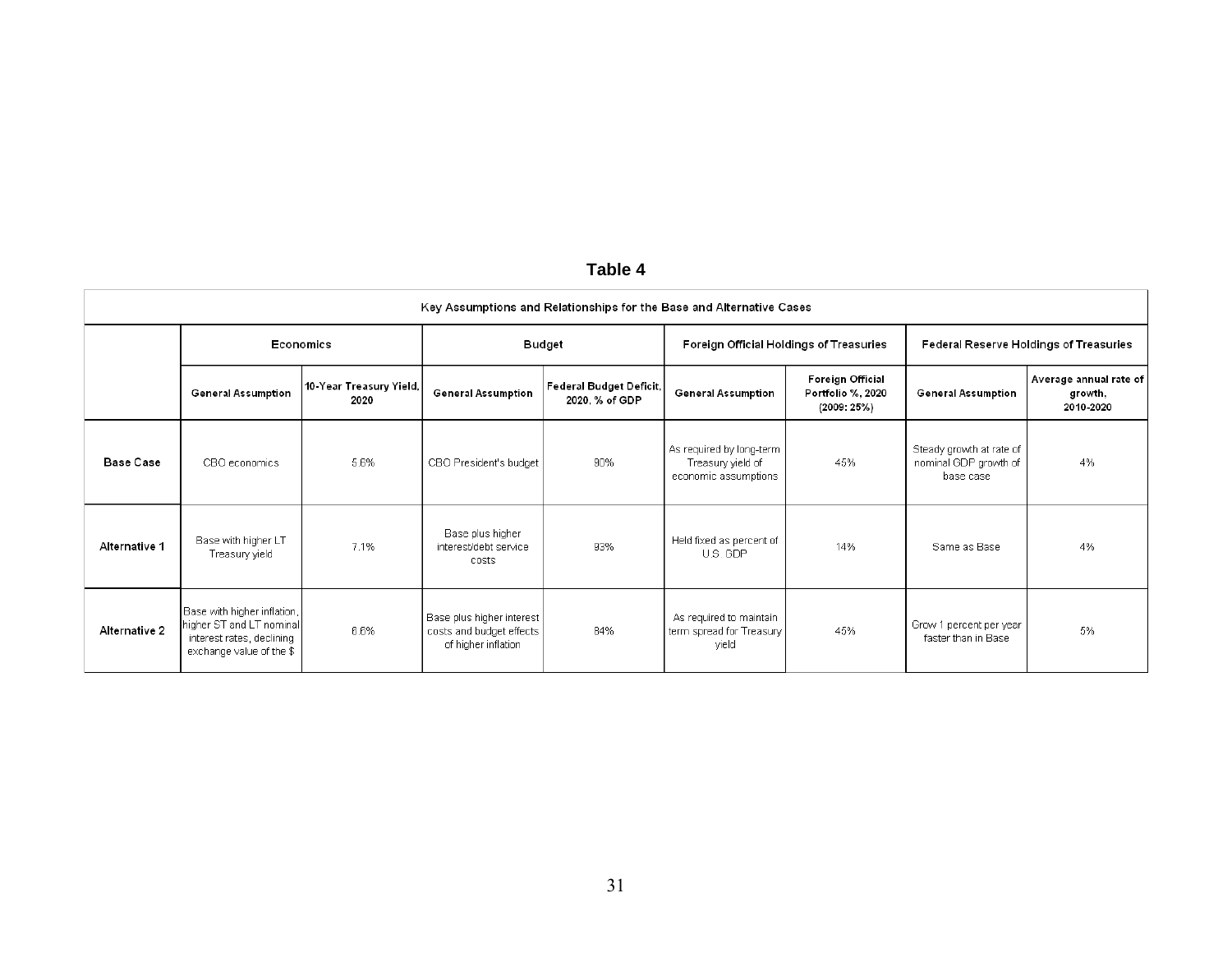| ٠.<br>. . |  |  |  |  |
|-----------|--|--|--|--|
|-----------|--|--|--|--|

| Key Assumptions and Relationships for the Base and Alternative Cases |                                                                                                                  |                                 |                                                                              |                                           |                                                                       |                                                      |                                                                |                                                |  |  |
|----------------------------------------------------------------------|------------------------------------------------------------------------------------------------------------------|---------------------------------|------------------------------------------------------------------------------|-------------------------------------------|-----------------------------------------------------------------------|------------------------------------------------------|----------------------------------------------------------------|------------------------------------------------|--|--|
|                                                                      | Economics                                                                                                        |                                 | Budget                                                                       |                                           | Foreign Official Holdings of Treasuries                               |                                                      | Federal Reserve Holdings of Treasuries                         |                                                |  |  |
|                                                                      | <b>General Assumption</b>                                                                                        | 10-Year Treasury Yield,<br>2020 | <b>General Assumption</b>                                                    | Federal Budget Deficit,<br>2020, % of GDP | <b>General Assumption</b>                                             | Foreign Official<br>Portfolio %, 2020<br>(2009: 25%) | <b>General Assumption</b>                                      | Average annual rate of<br>growth.<br>2010-2020 |  |  |
| <b>Base Case</b>                                                     | CBO economics                                                                                                    | 5.6%                            | CBO President's budget                                                       | 90%                                       | As required by long-term<br>Treasury yield of<br>economic assumptions | 45%                                                  | Steady growth at rate of<br>nominal GDP growth of<br>base case | 4%                                             |  |  |
| Alternative 1                                                        | Base with higher LT<br>Treasury yield                                                                            | 7.1%                            | Base plus higher<br>interest/debt service<br>costs                           | 93%                                       | Held fixed as percent of<br>U.S. GDP                                  | 14%                                                  | Same as Base                                                   | 4%                                             |  |  |
| Alternative 2                                                        | Base with higher inflation,<br>higher ST and LT nominal<br>interest rates, declining<br>exchange value of the \$ | 6.6%                            | Base plus higher interest<br>costs and budget effects<br>of higher inflation | 84%                                       | As required to maintain<br>term spread for Treasury<br>vield          | 45%                                                  | Grow 1 percent per year<br>faster than in Base                 | 5%                                             |  |  |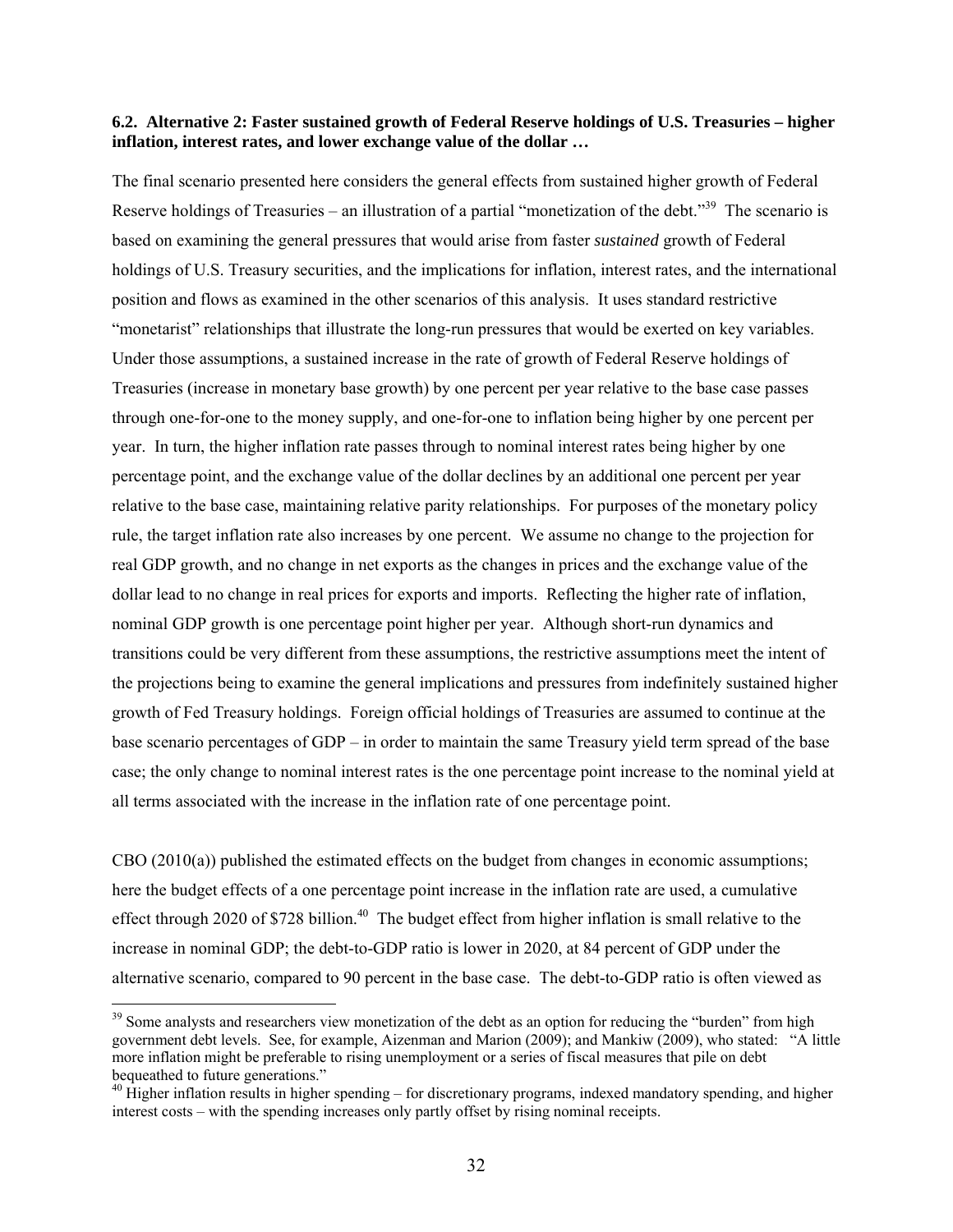#### **6.2. Alternative 2: Faster sustained growth of Federal Reserve holdings of U.S. Treasuries – higher inflation, interest rates, and lower exchange value of the dollar …**

The final scenario presented here considers the general effects from sustained higher growth of Federal Reserve holdings of Treasuries – an illustration of a partial "monetization of the debt."<sup>39</sup> The scenario is based on examining the general pressures that would arise from faster *sustained* growth of Federal holdings of U.S. Treasury securities, and the implications for inflation, interest rates, and the international position and flows as examined in the other scenarios of this analysis. It uses standard restrictive "monetarist" relationships that illustrate the long-run pressures that would be exerted on key variables. Under those assumptions, a sustained increase in the rate of growth of Federal Reserve holdings of Treasuries (increase in monetary base growth) by one percent per year relative to the base case passes through one-for-one to the money supply, and one-for-one to inflation being higher by one percent per year. In turn, the higher inflation rate passes through to nominal interest rates being higher by one percentage point, and the exchange value of the dollar declines by an additional one percent per year relative to the base case, maintaining relative parity relationships. For purposes of the monetary policy rule, the target inflation rate also increases by one percent. We assume no change to the projection for real GDP growth, and no change in net exports as the changes in prices and the exchange value of the dollar lead to no change in real prices for exports and imports. Reflecting the higher rate of inflation, nominal GDP growth is one percentage point higher per year. Although short-run dynamics and transitions could be very different from these assumptions, the restrictive assumptions meet the intent of the projections being to examine the general implications and pressures from indefinitely sustained higher growth of Fed Treasury holdings. Foreign official holdings of Treasuries are assumed to continue at the base scenario percentages of GDP – in order to maintain the same Treasury yield term spread of the base case; the only change to nominal interest rates is the one percentage point increase to the nominal yield at all terms associated with the increase in the inflation rate of one percentage point.

 $CBO (2010(a))$  published the estimated effects on the budget from changes in economic assumptions; here the budget effects of a one percentage point increase in the inflation rate are used, a cumulative effect through 2020 of \$728 billion.<sup>40</sup> The budget effect from higher inflation is small relative to the increase in nominal GDP; the debt-to-GDP ratio is lower in 2020, at 84 percent of GDP under the alternative scenario, compared to 90 percent in the base case. The debt-to-GDP ratio is often viewed as

<sup>&</sup>lt;sup>39</sup> Some analysts and researchers view monetization of the debt as an option for reducing the "burden" from high government debt levels. See, for example, Aizenman and Marion (2009); and Mankiw (2009), who stated: "A little more inflation might be preferable to rising unemployment or a series of fiscal measures that pile on debt bequeathed to future generations."

<sup>&</sup>lt;sup>40</sup> Higher inflation results in higher spending – for discretionary programs, indexed mandatory spending, and higher interest costs – with the spending increases only partly offset by rising nominal receipts.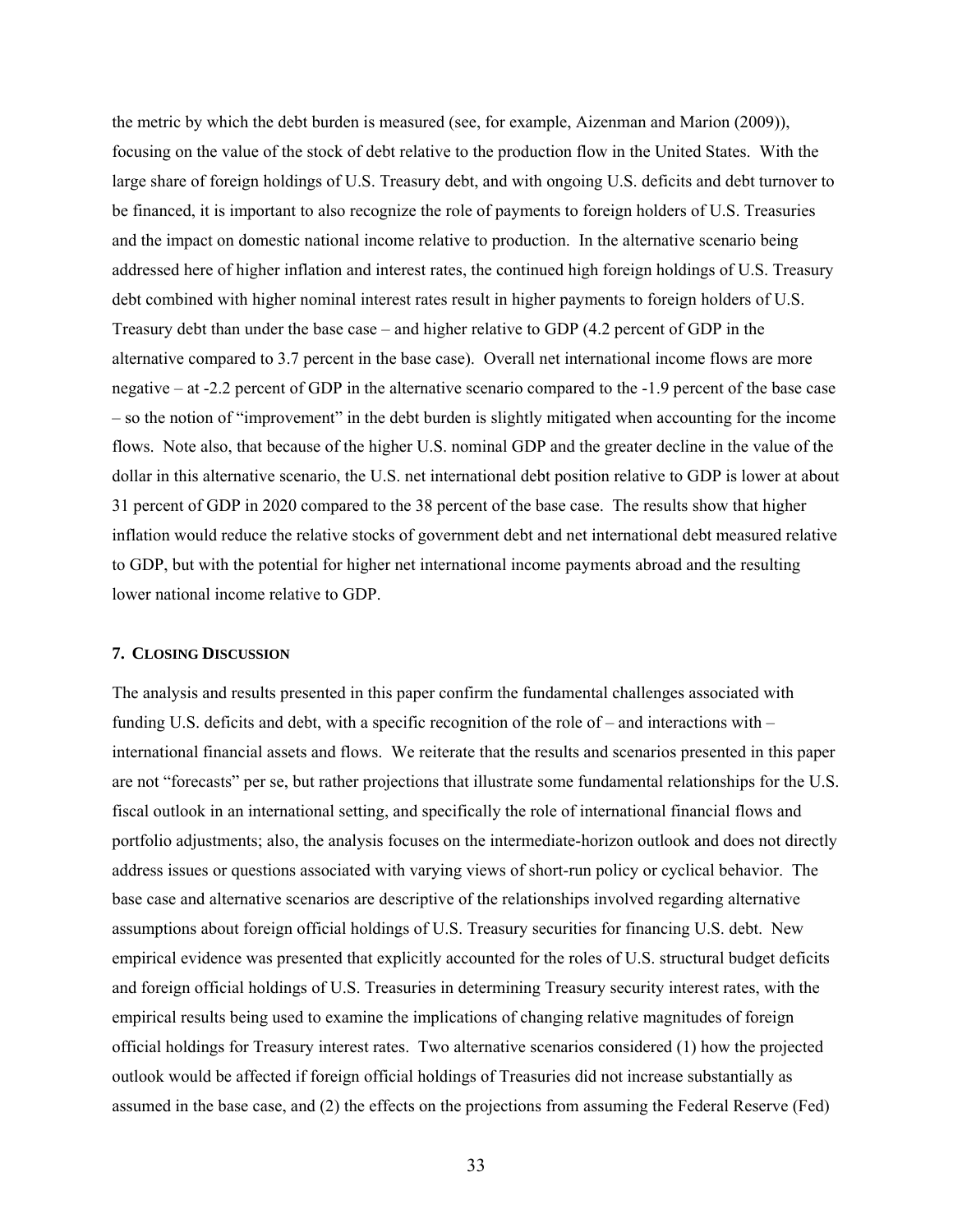the metric by which the debt burden is measured (see, for example, Aizenman and Marion (2009)), focusing on the value of the stock of debt relative to the production flow in the United States. With the large share of foreign holdings of U.S. Treasury debt, and with ongoing U.S. deficits and debt turnover to be financed, it is important to also recognize the role of payments to foreign holders of U.S. Treasuries and the impact on domestic national income relative to production. In the alternative scenario being addressed here of higher inflation and interest rates, the continued high foreign holdings of U.S. Treasury debt combined with higher nominal interest rates result in higher payments to foreign holders of U.S. Treasury debt than under the base case – and higher relative to GDP (4.2 percent of GDP in the alternative compared to 3.7 percent in the base case). Overall net international income flows are more negative – at -2.2 percent of GDP in the alternative scenario compared to the -1.9 percent of the base case – so the notion of "improvement" in the debt burden is slightly mitigated when accounting for the income flows. Note also, that because of the higher U.S. nominal GDP and the greater decline in the value of the dollar in this alternative scenario, the U.S. net international debt position relative to GDP is lower at about 31 percent of GDP in 2020 compared to the 38 percent of the base case. The results show that higher inflation would reduce the relative stocks of government debt and net international debt measured relative to GDP, but with the potential for higher net international income payments abroad and the resulting lower national income relative to GDP.

#### **7. CLOSING DISCUSSION**

The analysis and results presented in this paper confirm the fundamental challenges associated with funding U.S. deficits and debt, with a specific recognition of the role of – and interactions with – international financial assets and flows. We reiterate that the results and scenarios presented in this paper are not "forecasts" per se, but rather projections that illustrate some fundamental relationships for the U.S. fiscal outlook in an international setting, and specifically the role of international financial flows and portfolio adjustments; also, the analysis focuses on the intermediate-horizon outlook and does not directly address issues or questions associated with varying views of short-run policy or cyclical behavior. The base case and alternative scenarios are descriptive of the relationships involved regarding alternative assumptions about foreign official holdings of U.S. Treasury securities for financing U.S. debt. New empirical evidence was presented that explicitly accounted for the roles of U.S. structural budget deficits and foreign official holdings of U.S. Treasuries in determining Treasury security interest rates, with the empirical results being used to examine the implications of changing relative magnitudes of foreign official holdings for Treasury interest rates. Two alternative scenarios considered (1) how the projected outlook would be affected if foreign official holdings of Treasuries did not increase substantially as assumed in the base case, and (2) the effects on the projections from assuming the Federal Reserve (Fed)

33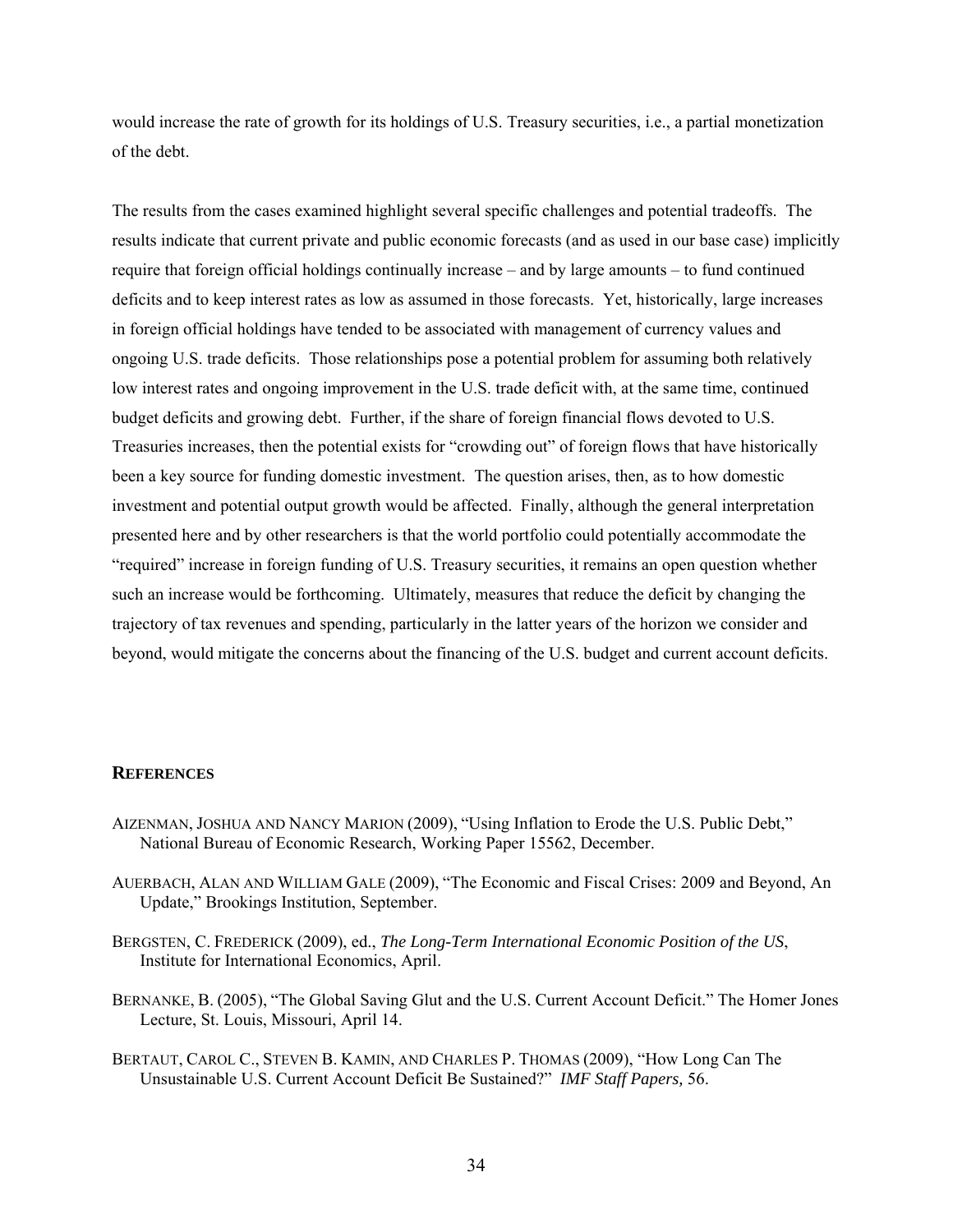would increase the rate of growth for its holdings of U.S. Treasury securities, i.e., a partial monetization of the debt.

The results from the cases examined highlight several specific challenges and potential tradeoffs. The results indicate that current private and public economic forecasts (and as used in our base case) implicitly require that foreign official holdings continually increase – and by large amounts – to fund continued deficits and to keep interest rates as low as assumed in those forecasts. Yet, historically, large increases in foreign official holdings have tended to be associated with management of currency values and ongoing U.S. trade deficits. Those relationships pose a potential problem for assuming both relatively low interest rates and ongoing improvement in the U.S. trade deficit with, at the same time, continued budget deficits and growing debt. Further, if the share of foreign financial flows devoted to U.S. Treasuries increases, then the potential exists for "crowding out" of foreign flows that have historically been a key source for funding domestic investment. The question arises, then, as to how domestic investment and potential output growth would be affected. Finally, although the general interpretation presented here and by other researchers is that the world portfolio could potentially accommodate the "required" increase in foreign funding of U.S. Treasury securities, it remains an open question whether such an increase would be forthcoming. Ultimately, measures that reduce the deficit by changing the trajectory of tax revenues and spending, particularly in the latter years of the horizon we consider and beyond, would mitigate the concerns about the financing of the U.S. budget and current account deficits.

#### **REFERENCES**

- AIZENMAN, JOSHUA AND NANCY MARION (2009), "Using Inflation to Erode the U.S. Public Debt," National Bureau of Economic Research, Working Paper 15562, December.
- AUERBACH, ALAN AND WILLIAM GALE (2009), "The Economic and Fiscal Crises: 2009 and Beyond, An Update," Brookings Institution, September.
- BERGSTEN, C. FREDERICK (2009), ed., *The Long-Term International Economic Position of the US*, Institute for International Economics, April.
- BERNANKE, B. (2005), "The Global Saving Glut and the U.S. Current Account Deficit." The Homer Jones Lecture, St. Louis, Missouri, April 14.
- BERTAUT, CAROL C., STEVEN B. KAMIN, AND CHARLES P. THOMAS (2009), "How Long Can The Unsustainable U.S. Current Account Deficit Be Sustained?" *IMF Staff Papers,* 56.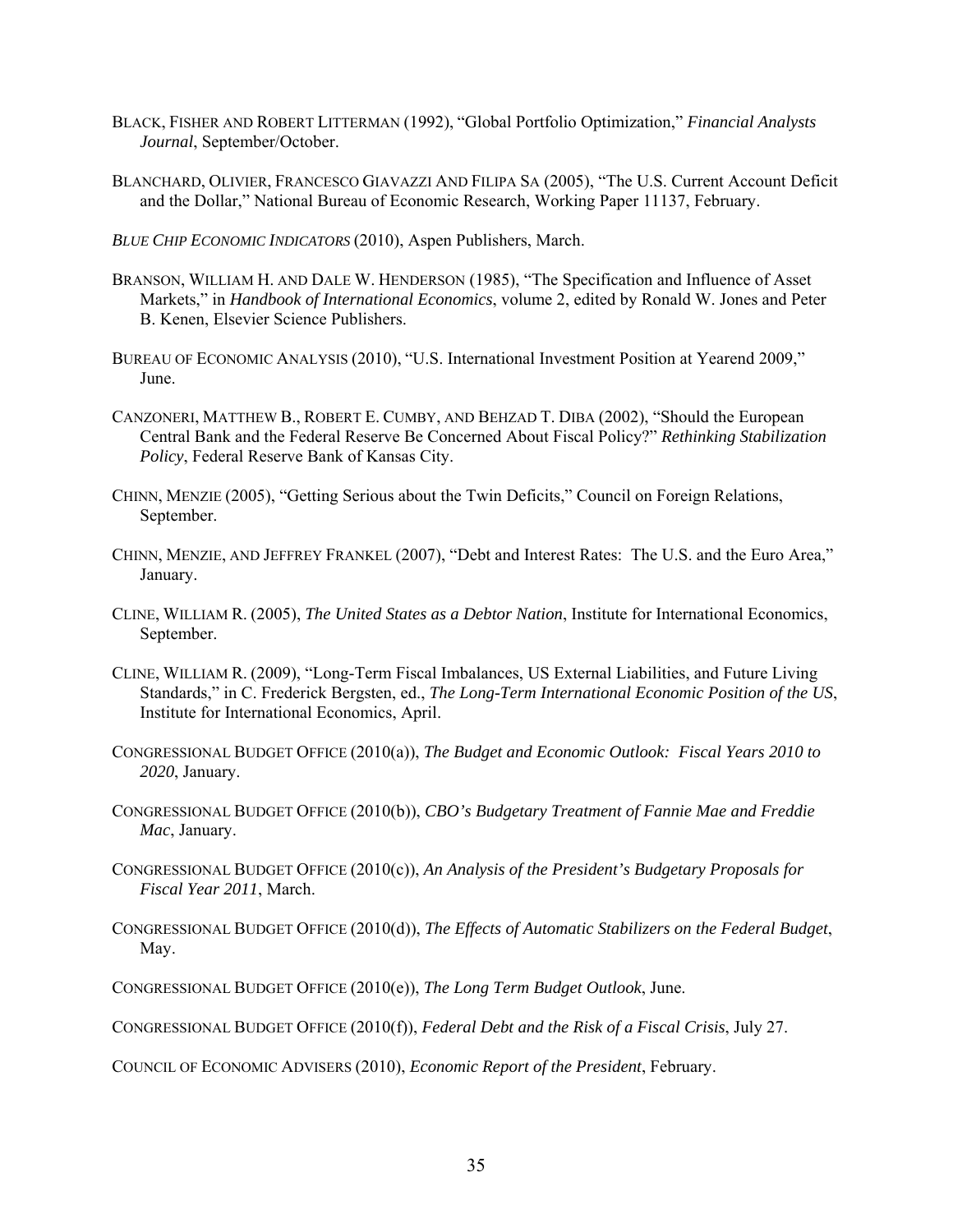- BLACK, FISHER AND ROBERT LITTERMAN (1992), "Global Portfolio Optimization," *Financial Analysts Journal*, September/October.
- BLANCHARD, OLIVIER, FRANCESCO GIAVAZZI AND FILIPA SA (2005), "The U.S. Current Account Deficit and the Dollar," National Bureau of Economic Research, Working Paper 11137, February.
- *BLUE CHIP ECONOMIC INDICATORS* (2010), Aspen Publishers, March.
- BRANSON, WILLIAM H. AND DALE W. HENDERSON (1985), "The Specification and Influence of Asset Markets," in *Handbook of International Economics*, volume 2, edited by Ronald W. Jones and Peter B. Kenen, Elsevier Science Publishers.
- BUREAU OF ECONOMIC ANALYSIS (2010), "U.S. International Investment Position at Yearend 2009," June.
- CANZONERI, MATTHEW B., ROBERT E. CUMBY, AND BEHZAD T. DIBA (2002), "Should the European Central Bank and the Federal Reserve Be Concerned About Fiscal Policy?" *Rethinking Stabilization Policy*, Federal Reserve Bank of Kansas City.
- CHINN, MENZIE (2005), "Getting Serious about the Twin Deficits," Council on Foreign Relations, September.
- CHINN, MENZIE, AND JEFFREY FRANKEL (2007), "Debt and Interest Rates: The U.S. and the Euro Area," January.
- CLINE, WILLIAM R. (2005), *The United States as a Debtor Nation*, Institute for International Economics, September.
- CLINE, WILLIAM R. (2009), "Long-Term Fiscal Imbalances, US External Liabilities, and Future Living Standards," in C. Frederick Bergsten, ed., *The Long-Term International Economic Position of the US*, Institute for International Economics, April.
- CONGRESSIONAL BUDGET OFFICE (2010(a)), *The Budget and Economic Outlook: Fiscal Years 2010 to 2020*, January.
- CONGRESSIONAL BUDGET OFFICE (2010(b)), *CBO's Budgetary Treatment of Fannie Mae and Freddie Mac*, January.
- CONGRESSIONAL BUDGET OFFICE (2010(c)), *An Analysis of the President's Budgetary Proposals for Fiscal Year 2011*, March.
- CONGRESSIONAL BUDGET OFFICE (2010(d)), *The Effects of Automatic Stabilizers on the Federal Budget*, May.
- CONGRESSIONAL BUDGET OFFICE (2010(e)), *The Long Term Budget Outlook*, June.

CONGRESSIONAL BUDGET OFFICE (2010(f)), *Federal Debt and the Risk of a Fiscal Crisis*, July 27.

COUNCIL OF ECONOMIC ADVISERS (2010), *Economic Report of the President*, February.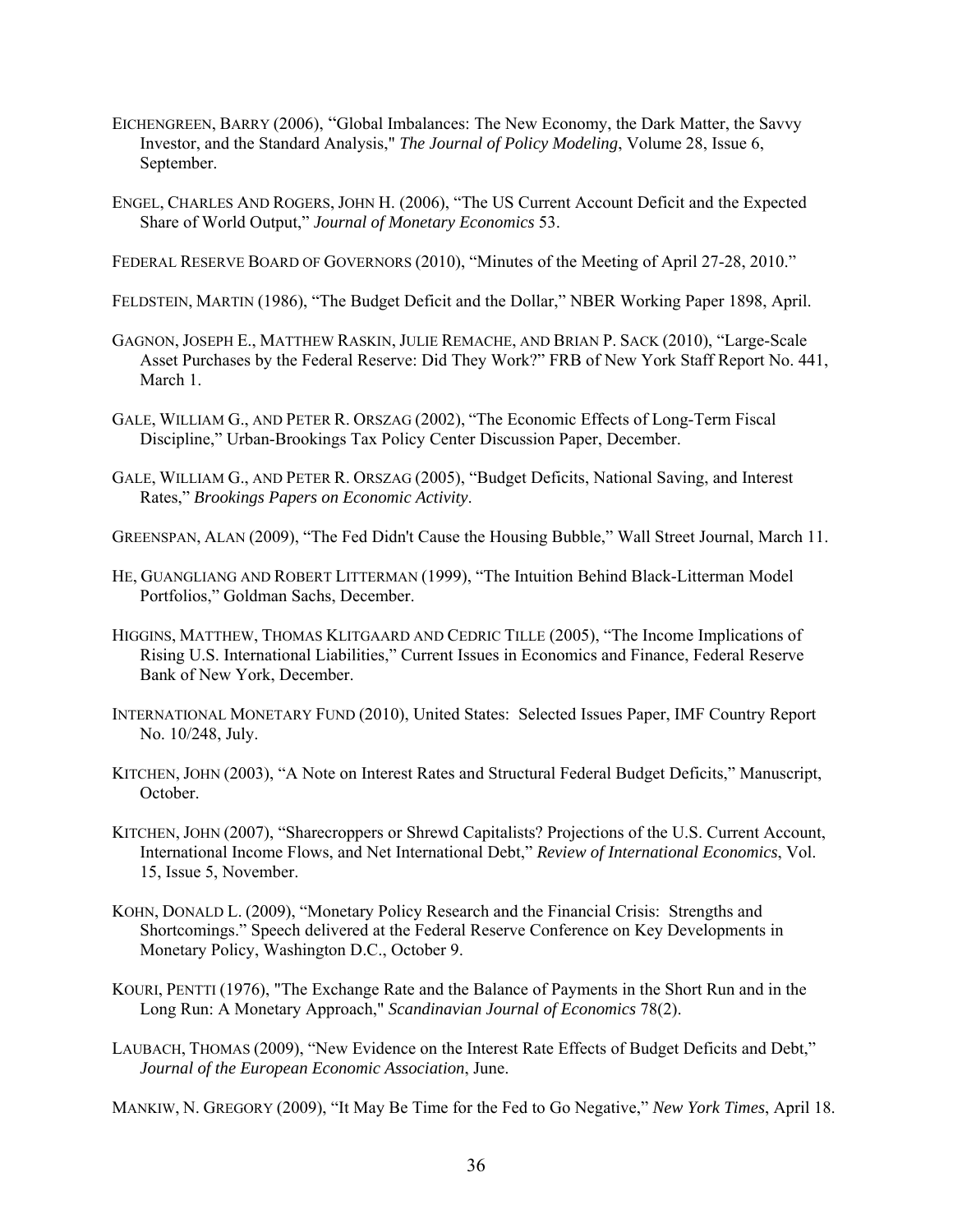- EICHENGREEN, BARRY (2006), "Global Imbalances: The New Economy, the Dark Matter, the Savvy Investor, and the Standard Analysis," *The Journal of Policy Modeling*, Volume 28, Issue 6, September.
- ENGEL, CHARLES AND ROGERS, JOHN H. (2006), "The US Current Account Deficit and the Expected Share of World Output," *Journal of Monetary Economics* 53.

FEDERAL RESERVE BOARD OF GOVERNORS (2010), "Minutes of the Meeting of April 27-28, 2010."

- FELDSTEIN, MARTIN (1986), "The Budget Deficit and the Dollar," NBER Working Paper 1898, April.
- GAGNON, JOSEPH E., MATTHEW RASKIN, JULIE REMACHE, AND BRIAN P. SACK (2010), "Large-Scale Asset Purchases by the Federal Reserve: Did They Work?" FRB of New York Staff Report No. 441, March 1.
- GALE, WILLIAM G., AND PETER R. ORSZAG (2002), "The Economic Effects of Long-Term Fiscal Discipline," Urban-Brookings Tax Policy Center Discussion Paper, December.
- GALE, WILLIAM G., AND PETER R. ORSZAG (2005), "Budget Deficits, National Saving, and Interest Rates," *Brookings Papers on Economic Activity*.

GREENSPAN, ALAN (2009), "The Fed Didn't Cause the Housing Bubble," Wall Street Journal, March 11.

- HE, GUANGLIANG AND ROBERT LITTERMAN (1999), "The Intuition Behind Black-Litterman Model Portfolios," Goldman Sachs, December.
- HIGGINS, MATTHEW, THOMAS KLITGAARD AND CEDRIC TILLE (2005), "The Income Implications of Rising U.S. International Liabilities," Current Issues in Economics and Finance, Federal Reserve Bank of New York, December.
- INTERNATIONAL MONETARY FUND (2010), United States: Selected Issues Paper, IMF Country Report No. 10/248, July.
- KITCHEN, JOHN (2003), "A Note on Interest Rates and Structural Federal Budget Deficits," Manuscript, October.
- KITCHEN, JOHN (2007), "Sharecroppers or Shrewd Capitalists? Projections of the U.S. Current Account, International Income Flows, and Net International Debt," *Review of International Economics*, Vol. 15, Issue 5, November.
- KOHN, DONALD L. (2009), "Monetary Policy Research and the Financial Crisis: Strengths and Shortcomings." Speech delivered at the Federal Reserve Conference on Key Developments in Monetary Policy, Washington D.C., October 9.
- KOURI, PENTTI (1976), "The Exchange Rate and the Balance of Payments in the Short Run and in the Long Run: A Monetary Approach," *Scandinavian Journal of Economics* 78(2).
- LAUBACH, THOMAS (2009), "New Evidence on the Interest Rate Effects of Budget Deficits and Debt," *Journal of the European Economic Association*, June.

MANKIW, N. GREGORY (2009), "It May Be Time for the Fed to Go Negative," *New York Times*, April 18.